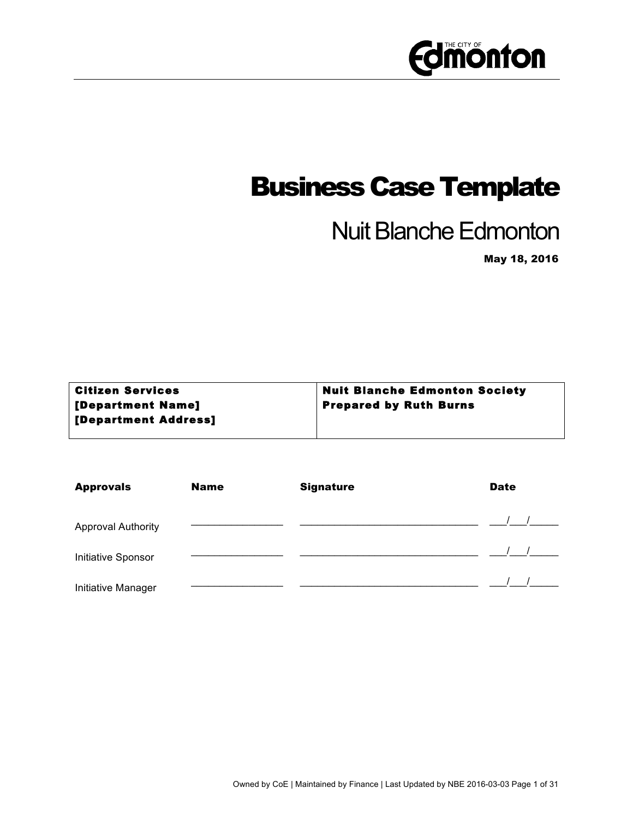

## Business Case Template

## Nuit Blanche Edmonton

May 18, 2016

| <b>Nuit Blanche Edmonton Society</b> |
|--------------------------------------|
| <b>Prepared by Ruth Burns</b>        |
|                                      |
|                                      |

| <b>Approvals</b>          | <b>Name</b> | <b>Signature</b> | <b>Date</b> |
|---------------------------|-------------|------------------|-------------|
| <b>Approval Authority</b> |             |                  |             |
| Initiative Sponsor        |             |                  |             |
| Initiative Manager        |             |                  |             |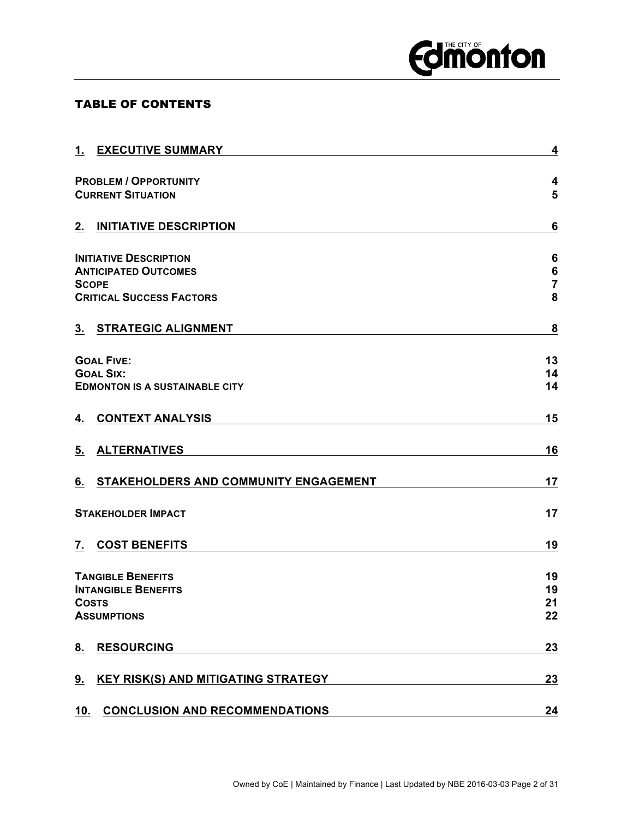## **Edimonton**

### TABLE OF CONTENTS

| $\boldsymbol{4}$<br><b>PROBLEM / OPPORTUNITY</b><br>5<br><b>CURRENT SITUATION</b><br>2.<br><b>INITIATIVE DESCRIPTION</b><br>$6\phantom{1}6$<br><b>INITIATIVE DESCRIPTION</b><br>6<br>$\bf 6$<br><b>ANTICIPATED OUTCOMES</b><br>$\overline{7}$<br>8<br><b>CRITICAL SUCCESS FACTORS</b><br><b>STRATEGIC ALIGNMENT</b><br>8<br>3.<br><b>GOAL FIVE:</b><br><b>GOAL SIX:</b><br>14<br><b>EDMONTON IS A SUSTAINABLE CITY</b><br><b>CONTEXT ANALYSIS</b><br>15<br>4.<br><b>ALTERNATIVES</b><br>16<br>5.<br>STAKEHOLDERS AND COMMUNITY ENGAGEMENT<br>17<br>6.<br>17<br><b>STAKEHOLDER IMPACT</b><br><b>COST BENEFITS</b><br>19<br>19<br><b>TANGIBLE BENEFITS</b><br>19<br><b>INTANGIBLE BENEFITS</b><br><b>COSTS</b><br>22<br><b>ASSUMPTIONS</b><br><b>RESOURCING</b><br>8.<br><b>KEY RISK(S) AND MITIGATING STRATEGY</b><br>9.<br>23<br><b>CONCLUSION AND RECOMMENDATIONS</b><br>10.<br>24 | 1. | <b>EXECUTIVE SUMMARY</b> | 4  |
|-------------------------------------------------------------------------------------------------------------------------------------------------------------------------------------------------------------------------------------------------------------------------------------------------------------------------------------------------------------------------------------------------------------------------------------------------------------------------------------------------------------------------------------------------------------------------------------------------------------------------------------------------------------------------------------------------------------------------------------------------------------------------------------------------------------------------------------------------------------------------------------|----|--------------------------|----|
|                                                                                                                                                                                                                                                                                                                                                                                                                                                                                                                                                                                                                                                                                                                                                                                                                                                                                     |    |                          |    |
|                                                                                                                                                                                                                                                                                                                                                                                                                                                                                                                                                                                                                                                                                                                                                                                                                                                                                     |    |                          |    |
| <b>SCOPE</b><br>7.                                                                                                                                                                                                                                                                                                                                                                                                                                                                                                                                                                                                                                                                                                                                                                                                                                                                  |    |                          |    |
|                                                                                                                                                                                                                                                                                                                                                                                                                                                                                                                                                                                                                                                                                                                                                                                                                                                                                     |    |                          |    |
|                                                                                                                                                                                                                                                                                                                                                                                                                                                                                                                                                                                                                                                                                                                                                                                                                                                                                     |    |                          |    |
|                                                                                                                                                                                                                                                                                                                                                                                                                                                                                                                                                                                                                                                                                                                                                                                                                                                                                     |    |                          |    |
|                                                                                                                                                                                                                                                                                                                                                                                                                                                                                                                                                                                                                                                                                                                                                                                                                                                                                     |    |                          |    |
|                                                                                                                                                                                                                                                                                                                                                                                                                                                                                                                                                                                                                                                                                                                                                                                                                                                                                     |    |                          |    |
|                                                                                                                                                                                                                                                                                                                                                                                                                                                                                                                                                                                                                                                                                                                                                                                                                                                                                     |    |                          | 13 |
|                                                                                                                                                                                                                                                                                                                                                                                                                                                                                                                                                                                                                                                                                                                                                                                                                                                                                     |    |                          | 14 |
|                                                                                                                                                                                                                                                                                                                                                                                                                                                                                                                                                                                                                                                                                                                                                                                                                                                                                     |    |                          |    |
|                                                                                                                                                                                                                                                                                                                                                                                                                                                                                                                                                                                                                                                                                                                                                                                                                                                                                     |    |                          |    |
|                                                                                                                                                                                                                                                                                                                                                                                                                                                                                                                                                                                                                                                                                                                                                                                                                                                                                     |    |                          |    |
|                                                                                                                                                                                                                                                                                                                                                                                                                                                                                                                                                                                                                                                                                                                                                                                                                                                                                     |    |                          |    |
|                                                                                                                                                                                                                                                                                                                                                                                                                                                                                                                                                                                                                                                                                                                                                                                                                                                                                     |    |                          |    |
|                                                                                                                                                                                                                                                                                                                                                                                                                                                                                                                                                                                                                                                                                                                                                                                                                                                                                     |    |                          |    |
|                                                                                                                                                                                                                                                                                                                                                                                                                                                                                                                                                                                                                                                                                                                                                                                                                                                                                     |    |                          |    |
|                                                                                                                                                                                                                                                                                                                                                                                                                                                                                                                                                                                                                                                                                                                                                                                                                                                                                     |    |                          |    |
|                                                                                                                                                                                                                                                                                                                                                                                                                                                                                                                                                                                                                                                                                                                                                                                                                                                                                     |    |                          | 21 |
|                                                                                                                                                                                                                                                                                                                                                                                                                                                                                                                                                                                                                                                                                                                                                                                                                                                                                     |    |                          |    |
|                                                                                                                                                                                                                                                                                                                                                                                                                                                                                                                                                                                                                                                                                                                                                                                                                                                                                     |    |                          | 23 |
|                                                                                                                                                                                                                                                                                                                                                                                                                                                                                                                                                                                                                                                                                                                                                                                                                                                                                     |    |                          |    |
|                                                                                                                                                                                                                                                                                                                                                                                                                                                                                                                                                                                                                                                                                                                                                                                                                                                                                     |    |                          |    |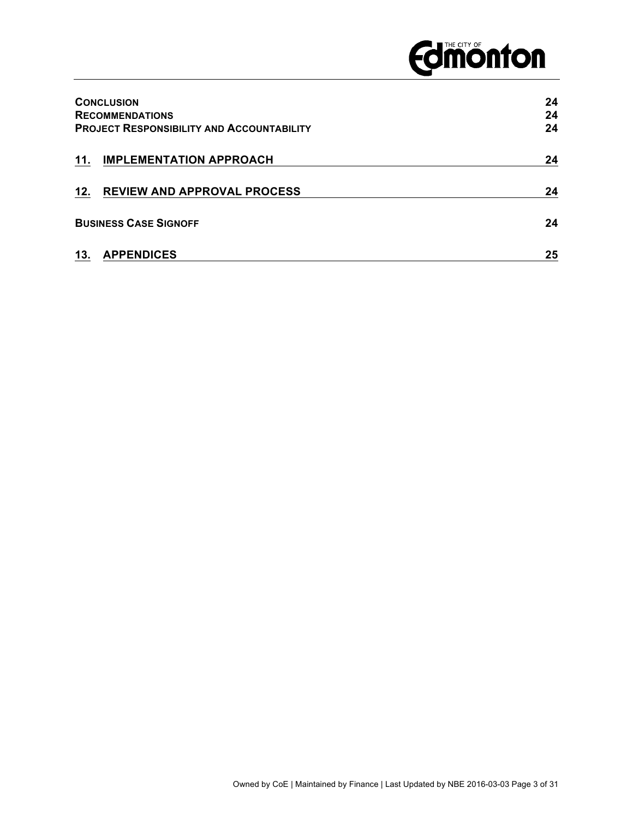# **Edition from Edition**

|     | <b>CONCLUSION</b><br><b>RECOMMENDATIONS</b><br><b>PROJECT RESPONSIBILITY AND ACCOUNTABILITY</b> | 24<br>24<br>24 |
|-----|-------------------------------------------------------------------------------------------------|----------------|
| 11. | <b>IMPLEMENTATION APPROACH</b>                                                                  | 24             |
| 12. | <b>REVIEW AND APPROVAL PROCESS</b>                                                              | 24             |
|     | <b>BUSINESS CASE SIGNOFF</b>                                                                    | 24             |
| 13. | <b>APPENDICES</b>                                                                               | 25             |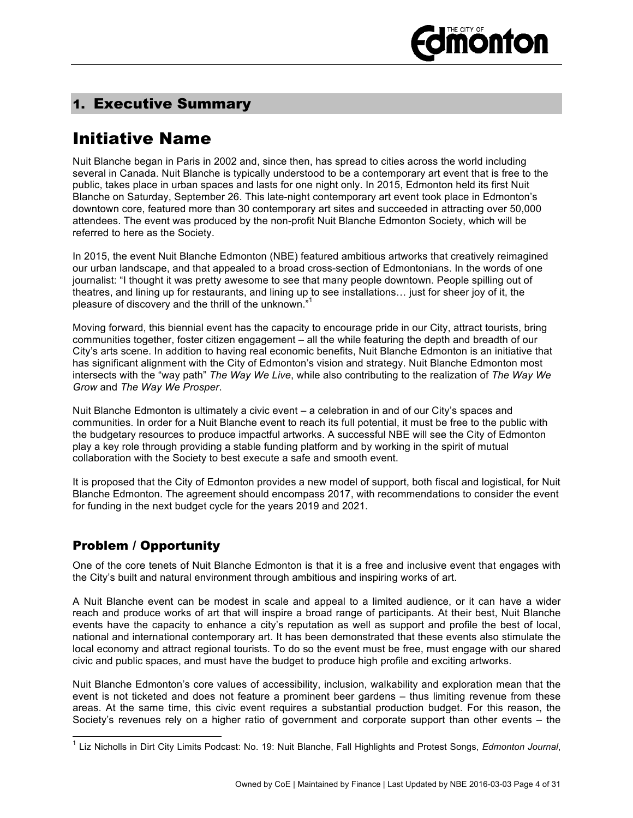

## 1. Executive Summary

## Initiative Name

Nuit Blanche began in Paris in 2002 and, since then, has spread to cities across the world including several in Canada. Nuit Blanche is typically understood to be a contemporary art event that is free to the public, takes place in urban spaces and lasts for one night only. In 2015, Edmonton held its first Nuit Blanche on Saturday, September 26. This late-night contemporary art event took place in Edmonton's downtown core, featured more than 30 contemporary art sites and succeeded in attracting over 50,000 attendees. The event was produced by the non-profit Nuit Blanche Edmonton Society, which will be referred to here as the Society.

In 2015, the event Nuit Blanche Edmonton (NBE) featured ambitious artworks that creatively reimagined our urban landscape, and that appealed to a broad cross-section of Edmontonians. In the words of one journalist: "I thought it was pretty awesome to see that many people downtown. People spilling out of theatres, and lining up for restaurants, and lining up to see installations… just for sheer joy of it, the pleasure of discovery and the thrill of the unknown."

Moving forward, this biennial event has the capacity to encourage pride in our City, attract tourists, bring communities together, foster citizen engagement – all the while featuring the depth and breadth of our City's arts scene. In addition to having real economic benefits, Nuit Blanche Edmonton is an initiative that has significant alignment with the City of Edmonton's vision and strategy. Nuit Blanche Edmonton most intersects with the "way path" *The Way We Live*, while also contributing to the realization of *The Way We Grow* and *The Way We Prosper*.

Nuit Blanche Edmonton is ultimately a civic event – a celebration in and of our City's spaces and communities. In order for a Nuit Blanche event to reach its full potential, it must be free to the public with the budgetary resources to produce impactful artworks. A successful NBE will see the City of Edmonton play a key role through providing a stable funding platform and by working in the spirit of mutual collaboration with the Society to best execute a safe and smooth event.

It is proposed that the City of Edmonton provides a new model of support, both fiscal and logistical, for Nuit Blanche Edmonton. The agreement should encompass 2017, with recommendations to consider the event for funding in the next budget cycle for the years 2019 and 2021.

## Problem / Opportunity

One of the core tenets of Nuit Blanche Edmonton is that it is a free and inclusive event that engages with the City's built and natural environment through ambitious and inspiring works of art.

A Nuit Blanche event can be modest in scale and appeal to a limited audience, or it can have a wider reach and produce works of art that will inspire a broad range of participants. At their best, Nuit Blanche events have the capacity to enhance a city's reputation as well as support and profile the best of local, national and international contemporary art. It has been demonstrated that these events also stimulate the local economy and attract regional tourists. To do so the event must be free, must engage with our shared civic and public spaces, and must have the budget to produce high profile and exciting artworks.

Nuit Blanche Edmonton's core values of accessibility, inclusion, walkability and exploration mean that the event is not ticketed and does not feature a prominent beer gardens – thus limiting revenue from these areas. At the same time, this civic event requires a substantial production budget. For this reason, the Society's revenues rely on a higher ratio of government and corporate support than other events – the

 <sup>1</sup> Liz Nicholls in Dirt City Limits Podcast: No. 19: Nuit Blanche, Fall Highlights and Protest Songs, *Edmonton Journal*,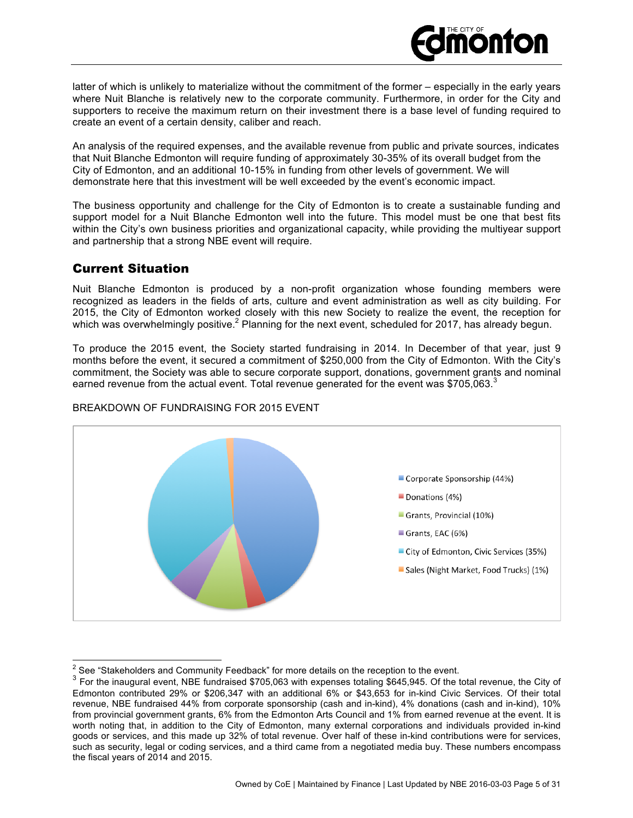

latter of which is unlikely to materialize without the commitment of the former – especially in the early years where Nuit Blanche is relatively new to the corporate community. Furthermore, in order for the City and supporters to receive the maximum return on their investment there is a base level of funding required to create an event of a certain density, caliber and reach.

An analysis of the required expenses, and the available revenue from public and private sources, indicates that Nuit Blanche Edmonton will require funding of approximately 30-35% of its overall budget from the City of Edmonton, and an additional 10-15% in funding from other levels of government. We will demonstrate here that this investment will be well exceeded by the event's economic impact.

The business opportunity and challenge for the City of Edmonton is to create a sustainable funding and support model for a Nuit Blanche Edmonton well into the future. This model must be one that best fits within the City's own business priorities and organizational capacity, while providing the multiyear support and partnership that a strong NBE event will require.

## Current Situation

Nuit Blanche Edmonton is produced by a non-profit organization whose founding members were recognized as leaders in the fields of arts, culture and event administration as well as city building. For 2015, the City of Edmonton worked closely with this new Society to realize the event, the reception for which was overwhelmingly positive.<sup>2</sup> Planning for the next event, scheduled for 2017, has already begun.

To produce the 2015 event, the Society started fundraising in 2014. In December of that year, just 9 months before the event, it secured a commitment of \$250,000 from the City of Edmonton. With the City's commitment, the Society was able to secure corporate support, donations, government grants and nominal earned revenue from the actual event. Total revenue generated for the event was \$705,063. $^3$ 



#### BREAKDOWN OF FUNDRAISING FOR 2015 EVENT

<sup>&</sup>lt;sup>2</sup> See "Stakeholders and Community Feedback" for more details on the reception to the event.<br><sup>3</sup> Ear the inquarral ovent. NRE fundraised \$705.063 with expenses totaling \$645.045. Of the t

<sup>3</sup> For the inaugural event, NBE fundraised \$705,063 with expenses totaling \$645,945. Of the total revenue, the City of Edmonton contributed 29% or \$206,347 with an additional 6% or \$43,653 for in-kind Civic Services. Of their total revenue, NBE fundraised 44% from corporate sponsorship (cash and in-kind), 4% donations (cash and in-kind), 10% from provincial government grants, 6% from the Edmonton Arts Council and 1% from earned revenue at the event. It is worth noting that, in addition to the City of Edmonton, many external corporations and individuals provided in-kind goods or services, and this made up 32% of total revenue. Over half of these in-kind contributions were for services, such as security, legal or coding services, and a third came from a negotiated media buy. These numbers encompass the fiscal years of 2014 and 2015.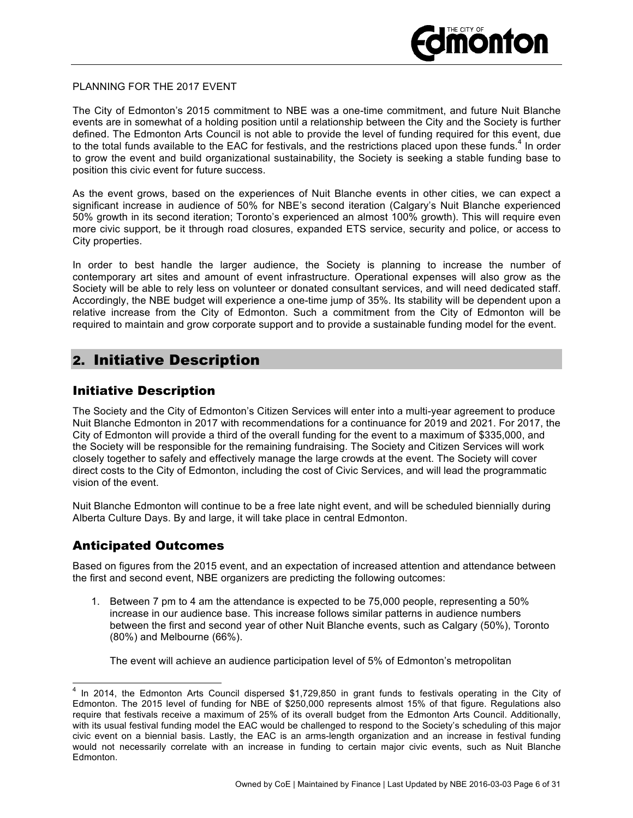#### PLANNING FOR THE 2017 EVENT

The City of Edmonton's 2015 commitment to NBE was a one-time commitment, and future Nuit Blanche events are in somewhat of a holding position until a relationship between the City and the Society is further defined. The Edmonton Arts Council is not able to provide the level of funding required for this event, due to the total funds available to the EAC for festivals, and the restrictions placed upon these funds.<sup>4</sup> In order to grow the event and build organizational sustainability, the Society is seeking a stable funding base to position this civic event for future success.

As the event grows, based on the experiences of Nuit Blanche events in other cities, we can expect a significant increase in audience of 50% for NBE's second iteration (Calgary's Nuit Blanche experienced 50% growth in its second iteration; Toronto's experienced an almost 100% growth). This will require even more civic support, be it through road closures, expanded ETS service, security and police, or access to City properties.

In order to best handle the larger audience, the Society is planning to increase the number of contemporary art sites and amount of event infrastructure. Operational expenses will also grow as the Society will be able to rely less on volunteer or donated consultant services, and will need dedicated staff. Accordingly, the NBE budget will experience a one-time jump of 35%. Its stability will be dependent upon a relative increase from the City of Edmonton. Such a commitment from the City of Edmonton will be required to maintain and grow corporate support and to provide a sustainable funding model for the event.

## 2. Initiative Description

## Initiative Description

The Society and the City of Edmonton's Citizen Services will enter into a multi-year agreement to produce Nuit Blanche Edmonton in 2017 with recommendations for a continuance for 2019 and 2021. For 2017, the City of Edmonton will provide a third of the overall funding for the event to a maximum of \$335,000, and the Society will be responsible for the remaining fundraising. The Society and Citizen Services will work closely together to safely and effectively manage the large crowds at the event. The Society will cover direct costs to the City of Edmonton, including the cost of Civic Services, and will lead the programmatic vision of the event.

Nuit Blanche Edmonton will continue to be a free late night event, and will be scheduled biennially during Alberta Culture Days. By and large, it will take place in central Edmonton.

## Anticipated Outcomes

Based on figures from the 2015 event, and an expectation of increased attention and attendance between the first and second event, NBE organizers are predicting the following outcomes:

1. Between 7 pm to 4 am the attendance is expected to be 75,000 people, representing a 50% increase in our audience base. This increase follows similar patterns in audience numbers between the first and second year of other Nuit Blanche events, such as Calgary (50%), Toronto (80%) and Melbourne (66%).

The event will achieve an audience participation level of 5% of Edmonton's metropolitan

 <sup>4</sup> In 2014, the Edmonton Arts Council dispersed \$1,729,850 in grant funds to festivals operating in the City of Edmonton. The 2015 level of funding for NBE of \$250,000 represents almost 15% of that figure. Regulations also require that festivals receive a maximum of 25% of its overall budget from the Edmonton Arts Council. Additionally, with its usual festival funding model the EAC would be challenged to respond to the Society's scheduling of this major civic event on a biennial basis. Lastly, the EAC is an arms-length organization and an increase in festival funding would not necessarily correlate with an increase in funding to certain major civic events, such as Nuit Blanche Edmonton.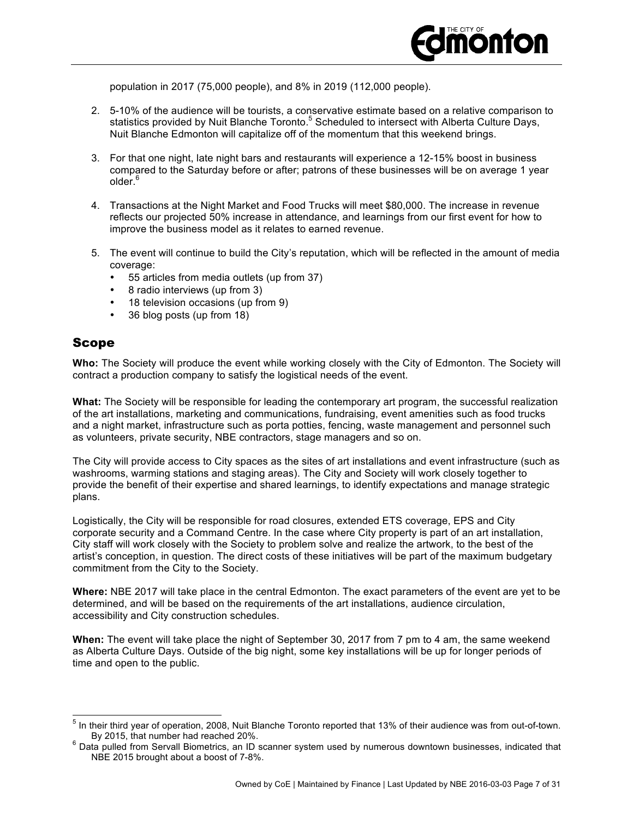

population in 2017 (75,000 people), and 8% in 2019 (112,000 people).

- 2. 5-10% of the audience will be tourists, a conservative estimate based on a relative comparison to statistics provided by Nuit Blanche Toronto.<sup>5</sup> Scheduled to intersect with Alberta Culture Days, Nuit Blanche Edmonton will capitalize off of the momentum that this weekend brings.
- 3. For that one night, late night bars and restaurants will experience a 12-15% boost in business compared to the Saturday before or after; patrons of these businesses will be on average 1 year  $older<sup>6</sup>$
- 4. Transactions at the Night Market and Food Trucks will meet \$80,000. The increase in revenue reflects our projected 50% increase in attendance, and learnings from our first event for how to improve the business model as it relates to earned revenue.
- 5. The event will continue to build the City's reputation, which will be reflected in the amount of media coverage:
	- 55 articles from media outlets (up from 37)
	- 8 radio interviews (up from 3)
	- 18 television occasions (up from 9)
	- 36 blog posts (up from 18)

### Scope

**Who:** The Society will produce the event while working closely with the City of Edmonton. The Society will contract a production company to satisfy the logistical needs of the event.

**What:** The Society will be responsible for leading the contemporary art program, the successful realization of the art installations, marketing and communications, fundraising, event amenities such as food trucks and a night market, infrastructure such as porta potties, fencing, waste management and personnel such as volunteers, private security, NBE contractors, stage managers and so on.

The City will provide access to City spaces as the sites of art installations and event infrastructure (such as washrooms, warming stations and staging areas). The City and Society will work closely together to provide the benefit of their expertise and shared learnings, to identify expectations and manage strategic plans.

Logistically, the City will be responsible for road closures, extended ETS coverage, EPS and City corporate security and a Command Centre. In the case where City property is part of an art installation, City staff will work closely with the Society to problem solve and realize the artwork, to the best of the artist's conception, in question. The direct costs of these initiatives will be part of the maximum budgetary commitment from the City to the Society.

**Where:** NBE 2017 will take place in the central Edmonton. The exact parameters of the event are yet to be determined, and will be based on the requirements of the art installations, audience circulation, accessibility and City construction schedules.

**When:** The event will take place the night of September 30, 2017 from 7 pm to 4 am, the same weekend as Alberta Culture Days. Outside of the big night, some key installations will be up for longer periods of time and open to the public.

 <sup>5</sup> In their third year of operation, 2008, Nuit Blanche Toronto reported that 13% of their audience was from out-of-town.

By 2015, that number had reached 20%.<br><sup>6</sup> Data pulled from Servall Biometrics, an ID scanner system used by numerous downtown businesses, indicated that NBE 2015 brought about a boost of 7-8%.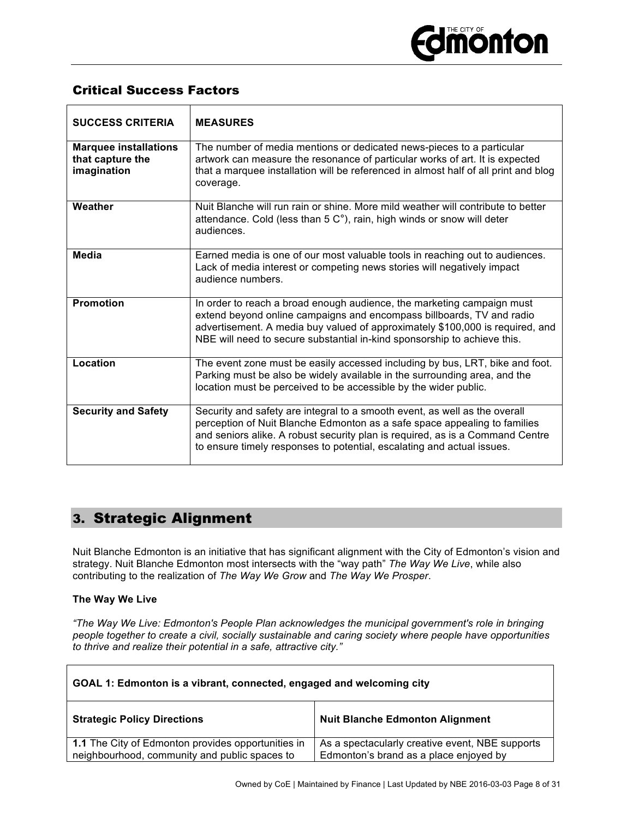## Critical Success Factors

| <b>SUCCESS CRITERIA</b>                                         | <b>MEASURES</b>                                                                                                                                                                                                                                                                                                    |
|-----------------------------------------------------------------|--------------------------------------------------------------------------------------------------------------------------------------------------------------------------------------------------------------------------------------------------------------------------------------------------------------------|
| <b>Marquee installations</b><br>that capture the<br>imagination | The number of media mentions or dedicated news-pieces to a particular<br>artwork can measure the resonance of particular works of art. It is expected<br>that a marquee installation will be referenced in almost half of all print and blog<br>coverage.                                                          |
| Weather                                                         | Nuit Blanche will run rain or shine. More mild weather will contribute to better<br>attendance. Cold (less than 5 C°), rain, high winds or snow will deter<br>audiences.                                                                                                                                           |
| Media                                                           | Earned media is one of our most valuable tools in reaching out to audiences.<br>Lack of media interest or competing news stories will negatively impact<br>audience numbers.                                                                                                                                       |
| <b>Promotion</b>                                                | In order to reach a broad enough audience, the marketing campaign must<br>extend beyond online campaigns and encompass billboards, TV and radio<br>advertisement. A media buy valued of approximately \$100,000 is required, and<br>NBE will need to secure substantial in-kind sponsorship to achieve this.       |
| Location                                                        | The event zone must be easily accessed including by bus, LRT, bike and foot.<br>Parking must be also be widely available in the surrounding area, and the<br>location must be perceived to be accessible by the wider public.                                                                                      |
| <b>Security and Safety</b>                                      | Security and safety are integral to a smooth event, as well as the overall<br>perception of Nuit Blanche Edmonton as a safe space appealing to families<br>and seniors alike. A robust security plan is required, as is a Command Centre<br>to ensure timely responses to potential, escalating and actual issues. |

## 3. Strategic Alignment

Nuit Blanche Edmonton is an initiative that has significant alignment with the City of Edmonton's vision and strategy. Nuit Blanche Edmonton most intersects with the "way path" *The Way We Live*, while also contributing to the realization of *The Way We Grow* and *The Way We Prosper*.

#### **The Way We Live**

*"The Way We Live: Edmonton's People Plan acknowledges the municipal government's role in bringing people together to create a civil, socially sustainable and caring society where people have opportunities to thrive and realize their potential in a safe, attractive city."*

| GOAL 1: Edmonton is a vibrant, connected, engaged and welcoming city                                |                                                                                           |  |
|-----------------------------------------------------------------------------------------------------|-------------------------------------------------------------------------------------------|--|
| <b>Strategic Policy Directions</b>                                                                  | <b>Nuit Blanche Edmonton Alignment</b>                                                    |  |
| 1.1 The City of Edmonton provides opportunities in<br>neighbourhood, community and public spaces to | As a spectacularly creative event, NBE supports<br>Edmonton's brand as a place enjoyed by |  |

٦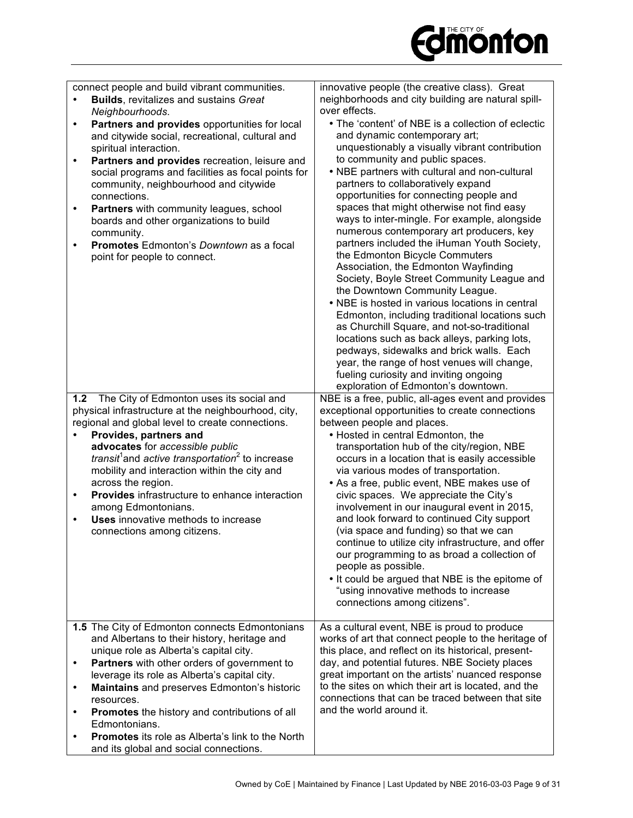

| connect people and build vibrant communities.<br><b>Builds, revitalizes and sustains Great</b><br>Neighbourhoods.<br>Partners and provides opportunities for local<br>$\bullet$<br>and citywide social, recreational, cultural and<br>spiritual interaction.<br>Partners and provides recreation, leisure and<br>$\bullet$<br>social programs and facilities as focal points for<br>community, neighbourhood and citywide<br>connections.<br>Partners with community leagues, school<br>$\bullet$<br>boards and other organizations to build<br>community.<br>Promotes Edmonton's Downtown as a focal<br>$\bullet$<br>point for people to connect. | innovative people (the creative class). Great<br>neighborhoods and city building are natural spill-<br>over effects.<br>• The 'content' of NBE is a collection of eclectic<br>and dynamic contemporary art;<br>unquestionably a visually vibrant contribution<br>to community and public spaces.<br>• NBE partners with cultural and non-cultural<br>partners to collaboratively expand<br>opportunities for connecting people and<br>spaces that might otherwise not find easy<br>ways to inter-mingle. For example, alongside<br>numerous contemporary art producers, key<br>partners included the iHuman Youth Society,<br>the Edmonton Bicycle Commuters<br>Association, the Edmonton Wayfinding<br>Society, Boyle Street Community League and<br>the Downtown Community League.<br>• NBE is hosted in various locations in central<br>Edmonton, including traditional locations such<br>as Churchill Square, and not-so-traditional<br>locations such as back alleys, parking lots,<br>pedways, sidewalks and brick walls. Each<br>year, the range of host venues will change,<br>fueling curiosity and inviting ongoing<br>exploration of Edmonton's downtown. |
|----------------------------------------------------------------------------------------------------------------------------------------------------------------------------------------------------------------------------------------------------------------------------------------------------------------------------------------------------------------------------------------------------------------------------------------------------------------------------------------------------------------------------------------------------------------------------------------------------------------------------------------------------|----------------------------------------------------------------------------------------------------------------------------------------------------------------------------------------------------------------------------------------------------------------------------------------------------------------------------------------------------------------------------------------------------------------------------------------------------------------------------------------------------------------------------------------------------------------------------------------------------------------------------------------------------------------------------------------------------------------------------------------------------------------------------------------------------------------------------------------------------------------------------------------------------------------------------------------------------------------------------------------------------------------------------------------------------------------------------------------------------------------------------------------------------------------------|
| The City of Edmonton uses its social and<br>1.2<br>physical infrastructure at the neighbourhood, city,<br>regional and global level to create connections.<br>Provides, partners and<br>advocates for accessible public<br><i>transit</i> <sup>1</sup> and <i>active transportation</i> <sup>2</sup> to increase<br>mobility and interaction within the city and<br>across the region.<br>Provides infrastructure to enhance interaction<br>$\bullet$<br>among Edmontonians.<br>Uses innovative methods to increase<br>$\bullet$<br>connections among citizens.                                                                                    | NBE is a free, public, all-ages event and provides<br>exceptional opportunities to create connections<br>between people and places.<br>• Hosted in central Edmonton, the<br>transportation hub of the city/region, NBE<br>occurs in a location that is easily accessible<br>via various modes of transportation.<br>• As a free, public event, NBE makes use of<br>civic spaces. We appreciate the City's<br>involvement in our inaugural event in 2015,<br>and look forward to continued City support<br>(via space and funding) so that we can<br>continue to utilize city infrastructure, and offer<br>our programming to as broad a collection of<br>people as possible.<br>• It could be argued that NBE is the epitome of<br>"using innovative methods to increase<br>connections among citizens".                                                                                                                                                                                                                                                                                                                                                             |
| 1.5 The City of Edmonton connects Edmontonians<br>and Albertans to their history, heritage and<br>unique role as Alberta's capital city.<br>Partners with other orders of government to<br>$\bullet$<br>leverage its role as Alberta's capital city.<br>Maintains and preserves Edmonton's historic<br>$\bullet$<br>resources.<br>Promotes the history and contributions of all<br>$\bullet$<br>Edmontonians.<br><b>Promotes</b> its role as Alberta's link to the North<br>٠<br>and its global and social connections.                                                                                                                            | As a cultural event, NBE is proud to produce<br>works of art that connect people to the heritage of<br>this place, and reflect on its historical, present-<br>day, and potential futures. NBE Society places<br>great important on the artists' nuanced response<br>to the sites on which their art is located, and the<br>connections that can be traced between that site<br>and the world around it.                                                                                                                                                                                                                                                                                                                                                                                                                                                                                                                                                                                                                                                                                                                                                              |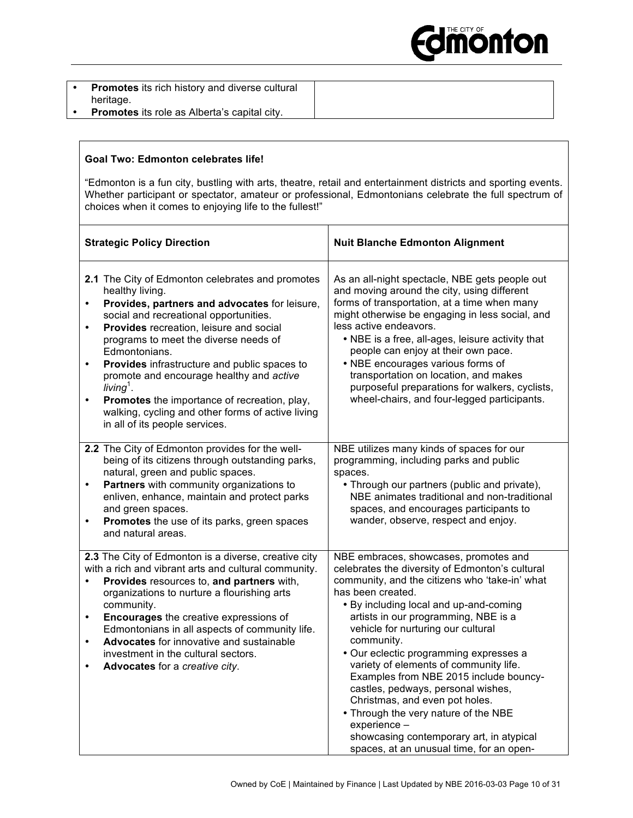

| <b>Promotes</b> its rich history and diverse cultural |  |
|-------------------------------------------------------|--|
| heritage.                                             |  |
| <b>Promotes</b> its role as Alberta's capital city.   |  |

#### **Goal Two: Edmonton celebrates life!**

"Edmonton is a fun city, bustling with arts, theatre, retail and entertainment districts and sporting events. Whether participant or spectator, amateur or professional, Edmontonians celebrate the full spectrum of choices when it comes to enjoying life to the fullest!"

| <b>Strategic Policy Direction</b>                                                                                                                                                                                                                                                                                                                                                                                                                                                                                                                                                   | <b>Nuit Blanche Edmonton Alignment</b>                                                                                                                                                                                                                                                                                                                                                                                                                                                                                                                                                                                                                      |
|-------------------------------------------------------------------------------------------------------------------------------------------------------------------------------------------------------------------------------------------------------------------------------------------------------------------------------------------------------------------------------------------------------------------------------------------------------------------------------------------------------------------------------------------------------------------------------------|-------------------------------------------------------------------------------------------------------------------------------------------------------------------------------------------------------------------------------------------------------------------------------------------------------------------------------------------------------------------------------------------------------------------------------------------------------------------------------------------------------------------------------------------------------------------------------------------------------------------------------------------------------------|
| 2.1 The City of Edmonton celebrates and promotes<br>healthy living.<br>Provides, partners and advocates for leisure,<br>$\bullet$<br>social and recreational opportunities.<br>Provides recreation, leisure and social<br>$\bullet$<br>programs to meet the diverse needs of<br>Edmontonians.<br>Provides infrastructure and public spaces to<br>$\bullet$<br>promote and encourage healthy and active<br>living <sup>1</sup> .<br>Promotes the importance of recreation, play,<br>$\bullet$<br>walking, cycling and other forms of active living<br>in all of its people services. | As an all-night spectacle, NBE gets people out<br>and moving around the city, using different<br>forms of transportation, at a time when many<br>might otherwise be engaging in less social, and<br>less active endeavors.<br>• NBE is a free, all-ages, leisure activity that<br>people can enjoy at their own pace.<br>• NBE encourages various forms of<br>transportation on location, and makes<br>purposeful preparations for walkers, cyclists,<br>wheel-chairs, and four-legged participants.                                                                                                                                                        |
| 2.2 The City of Edmonton provides for the well-<br>being of its citizens through outstanding parks,<br>natural, green and public spaces.<br>Partners with community organizations to<br>$\bullet$<br>enliven, enhance, maintain and protect parks<br>and green spaces.<br>Promotes the use of its parks, green spaces<br>$\bullet$<br>and natural areas.                                                                                                                                                                                                                            | NBE utilizes many kinds of spaces for our<br>programming, including parks and public<br>spaces.<br>• Through our partners (public and private),<br>NBE animates traditional and non-traditional<br>spaces, and encourages participants to<br>wander, observe, respect and enjoy.                                                                                                                                                                                                                                                                                                                                                                            |
| 2.3 The City of Edmonton is a diverse, creative city<br>with a rich and vibrant arts and cultural community.<br>Provides resources to, and partners with,<br>$\bullet$<br>organizations to nurture a flourishing arts<br>community.<br><b>Encourages</b> the creative expressions of<br>$\bullet$<br>Edmontonians in all aspects of community life.<br>Advocates for innovative and sustainable<br>$\bullet$<br>investment in the cultural sectors.<br>Advocates for a creative city.<br>$\bullet$                                                                                  | NBE embraces, showcases, promotes and<br>celebrates the diversity of Edmonton's cultural<br>community, and the citizens who 'take-in' what<br>has been created.<br>• By including local and up-and-coming<br>artists in our programming, NBE is a<br>vehicle for nurturing our cultural<br>community.<br>• Our eclectic programming expresses a<br>variety of elements of community life.<br>Examples from NBE 2015 include bouncy-<br>castles, pedways, personal wishes,<br>Christmas, and even pot holes.<br>• Through the very nature of the NBE<br>experience -<br>showcasing contemporary art, in atypical<br>spaces, at an unusual time, for an open- |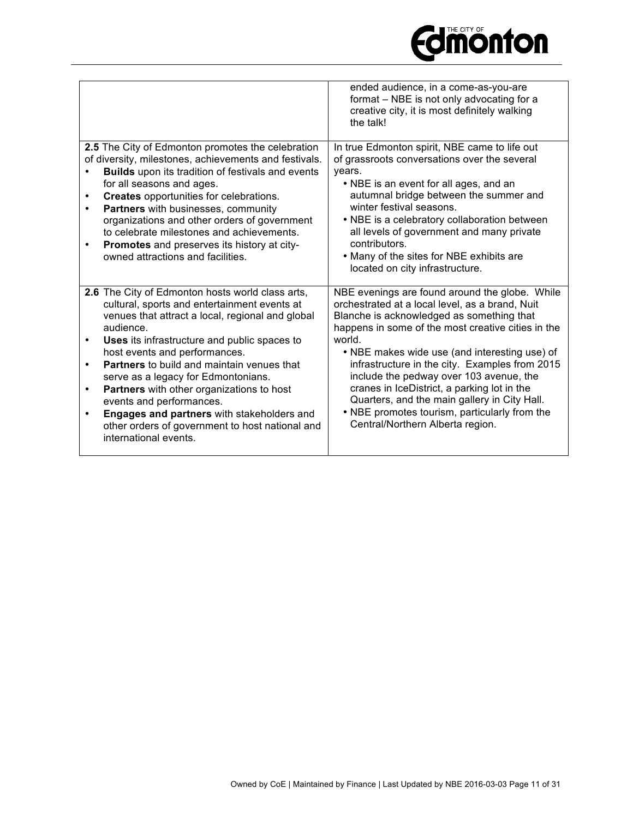|                                                                                                  | ended audience, in a come-as-you-are<br>format - NBE is not only advocating for a<br>creative city, it is most definitely walking<br>the talk! |
|--------------------------------------------------------------------------------------------------|------------------------------------------------------------------------------------------------------------------------------------------------|
| 2.5 The City of Edmonton promotes the celebration                                                | In true Edmonton spirit, NBE came to life out                                                                                                  |
| of diversity, milestones, achievements and festivals.                                            | of grassroots conversations over the several                                                                                                   |
| <b>Builds</b> upon its tradition of festivals and events                                         | years.                                                                                                                                         |
| for all seasons and ages.                                                                        | • NBE is an event for all ages, and an                                                                                                         |
| <b>Creates</b> opportunities for celebrations.                                                   | autumnal bridge between the summer and<br>winter festival seasons.                                                                             |
| Partners with businesses, community<br>organizations and other orders of government              | • NBE is a celebratory collaboration between                                                                                                   |
| to celebrate milestones and achievements.                                                        | all levels of government and many private                                                                                                      |
| Promotes and preserves its history at city-<br>$\bullet$                                         | contributors.                                                                                                                                  |
| owned attractions and facilities.                                                                | • Many of the sites for NBE exhibits are                                                                                                       |
|                                                                                                  | located on city infrastructure.                                                                                                                |
|                                                                                                  |                                                                                                                                                |
| 2.6 The City of Edmonton hosts world class arts,<br>cultural, sports and entertainment events at | NBE evenings are found around the globe. While<br>orchestrated at a local level, as a brand, Nuit                                              |
| venues that attract a local, regional and global                                                 | Blanche is acknowledged as something that                                                                                                      |
| audience.                                                                                        | happens in some of the most creative cities in the                                                                                             |
| Uses its infrastructure and public spaces to<br>$\bullet$                                        | world.                                                                                                                                         |
| host events and performances.                                                                    | • NBE makes wide use (and interesting use) of                                                                                                  |
| <b>Partners</b> to build and maintain venues that<br>$\bullet$                                   | infrastructure in the city. Examples from 2015                                                                                                 |
| serve as a legacy for Edmontonians.                                                              | include the pedway over 103 avenue, the<br>cranes in IceDistrict, a parking lot in the                                                         |
| Partners with other organizations to host<br>$\bullet$<br>events and performances.               | Quarters, and the main gallery in City Hall.                                                                                                   |
| Engages and partners with stakeholders and<br>$\bullet$                                          | • NBE promotes tourism, particularly from the                                                                                                  |
| other orders of government to host national and                                                  | Central/Northern Alberta region.                                                                                                               |
| international events.                                                                            |                                                                                                                                                |
|                                                                                                  |                                                                                                                                                |

**Edimonton**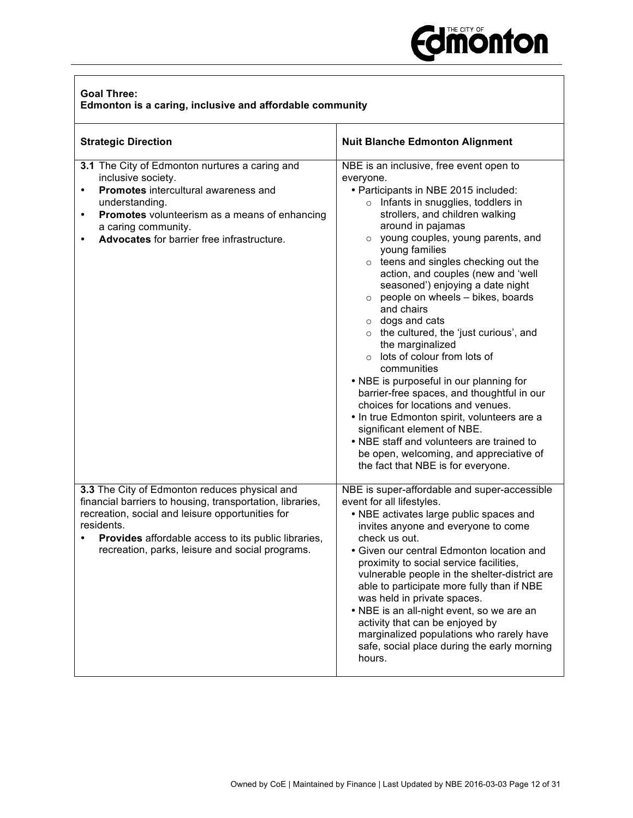

| <b>Goal Three:</b> |                                                          |
|--------------------|----------------------------------------------------------|
|                    | Edmonton is a caring, inclusive and affordable community |

| <b>Strategic Direction</b>                                                                                                                                                                                                                                                                  | <b>Nuit Blanche Edmonton Alignment</b>                                                                                                                                                                                                                                                                                                                                                                                                                                                                                                                                                                                                                                                                                                                                                                                                                                                                                                        |
|---------------------------------------------------------------------------------------------------------------------------------------------------------------------------------------------------------------------------------------------------------------------------------------------|-----------------------------------------------------------------------------------------------------------------------------------------------------------------------------------------------------------------------------------------------------------------------------------------------------------------------------------------------------------------------------------------------------------------------------------------------------------------------------------------------------------------------------------------------------------------------------------------------------------------------------------------------------------------------------------------------------------------------------------------------------------------------------------------------------------------------------------------------------------------------------------------------------------------------------------------------|
| 3.1 The City of Edmonton nurtures a caring and<br>inclusive society.<br>Promotes intercultural awareness and<br>$\bullet$<br>understanding.<br>Promotes volunteerism as a means of enhancing<br>$\bullet$<br>a caring community.<br>Advocates for barrier free infrastructure.<br>$\bullet$ | NBE is an inclusive, free event open to<br>everyone.<br>• Participants in NBE 2015 included:<br>$\circ$ Infants in snugglies, toddlers in<br>strollers, and children walking<br>around in pajamas<br>o young couples, young parents, and<br>young families<br>$\circ$ teens and singles checking out the<br>action, and couples (new and 'well<br>seasoned') enjoying a date night<br>people on wheels - bikes, boards<br>$\circ$<br>and chairs<br>$\circ$ dogs and cats<br>$\circ$ the cultured, the 'just curious', and<br>the marginalized<br>$\circ$ lots of colour from lots of<br>communities<br>• NBE is purposeful in our planning for<br>barrier-free spaces, and thoughtful in our<br>choices for locations and venues.<br>• In true Edmonton spirit, volunteers are a<br>significant element of NBE.<br>• NBE staff and volunteers are trained to<br>be open, welcoming, and appreciative of<br>the fact that NBE is for everyone. |
| 3.3 The City of Edmonton reduces physical and<br>financial barriers to housing, transportation, libraries,<br>recreation, social and leisure opportunities for<br>residents.<br>Provides affordable access to its public libraries,<br>recreation, parks, leisure and social programs.      | NBE is super-affordable and super-accessible<br>event for all lifestyles.<br>• NBE activates large public spaces and<br>invites anyone and everyone to come<br>check us out.<br>• Given our central Edmonton location and<br>proximity to social service facilities,<br>vulnerable people in the shelter-district are<br>able to participate more fully than if NBE<br>was held in private spaces.<br>• NBE is an all-night event, so we are an<br>activity that can be enjoyed by<br>marginalized populations who rarely have<br>safe, social place during the early morning<br>hours.                                                                                                                                                                                                                                                                                                                                                       |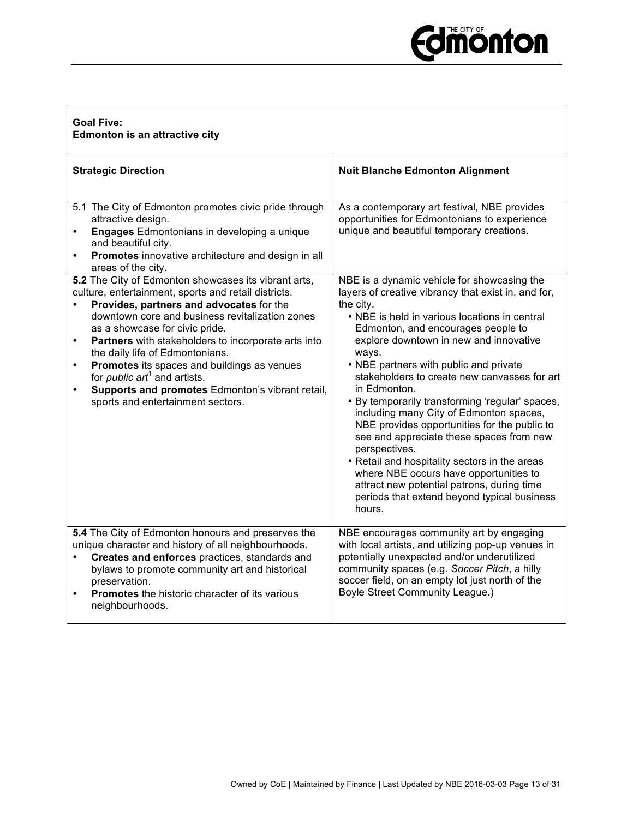# **Edition from Street**

| <b>Goal Five:</b><br>Edmonton is an attractive city                                                                                                                                                                                                                                                                                                                                                                                                                                                                                                                           |                                                                                                                                                                                                                                                                                                                                                                                                                                                                                                                                                                                                                                                                                                                                                                                  |  |  |
|-------------------------------------------------------------------------------------------------------------------------------------------------------------------------------------------------------------------------------------------------------------------------------------------------------------------------------------------------------------------------------------------------------------------------------------------------------------------------------------------------------------------------------------------------------------------------------|----------------------------------------------------------------------------------------------------------------------------------------------------------------------------------------------------------------------------------------------------------------------------------------------------------------------------------------------------------------------------------------------------------------------------------------------------------------------------------------------------------------------------------------------------------------------------------------------------------------------------------------------------------------------------------------------------------------------------------------------------------------------------------|--|--|
| <b>Strategic Direction</b>                                                                                                                                                                                                                                                                                                                                                                                                                                                                                                                                                    | <b>Nuit Blanche Edmonton Alignment</b>                                                                                                                                                                                                                                                                                                                                                                                                                                                                                                                                                                                                                                                                                                                                           |  |  |
| 5.1 The City of Edmonton promotes civic pride through<br>attractive design.<br><b>Engages</b> Edmontonians in developing a unique<br>and beautiful city.<br>Promotes innovative architecture and design in all<br>$\bullet$<br>areas of the city.                                                                                                                                                                                                                                                                                                                             | As a contemporary art festival, NBE provides<br>opportunities for Edmontonians to experience<br>unique and beautiful temporary creations.                                                                                                                                                                                                                                                                                                                                                                                                                                                                                                                                                                                                                                        |  |  |
| 5.2 The City of Edmonton showcases its vibrant arts,<br>culture, entertainment, sports and retail districts.<br>Provides, partners and advocates for the<br>$\bullet$<br>downtown core and business revitalization zones<br>as a showcase for civic pride.<br>Partners with stakeholders to incorporate arts into<br>$\bullet$<br>the daily life of Edmontonians.<br>Promotes its spaces and buildings as venues<br>$\bullet$<br>for <i>public</i> $art^1$ and artists.<br>Supports and promotes Edmonton's vibrant retail,<br>$\bullet$<br>sports and entertainment sectors. | NBE is a dynamic vehicle for showcasing the<br>layers of creative vibrancy that exist in, and for,<br>the city.<br>• NBE is held in various locations in central<br>Edmonton, and encourages people to<br>explore downtown in new and innovative<br>ways.<br>• NBE partners with public and private<br>stakeholders to create new canvasses for art<br>in Edmonton.<br>• By temporarily transforming 'regular' spaces,<br>including many City of Edmonton spaces,<br>NBE provides opportunities for the public to<br>see and appreciate these spaces from new<br>perspectives.<br>• Retail and hospitality sectors in the areas<br>where NBE occurs have opportunities to<br>attract new potential patrons, during time<br>periods that extend beyond typical business<br>hours. |  |  |
| 5.4 The City of Edmonton honours and preserves the<br>unique character and history of all neighbourhoods.<br>Creates and enforces practices, standards and<br>$\bullet$<br>bylaws to promote community art and historical<br>preservation.<br><b>Promotes</b> the historic character of its various<br>neighbourhoods.                                                                                                                                                                                                                                                        | NBE encourages community art by engaging<br>with local artists, and utilizing pop-up venues in<br>potentially unexpected and/or underutilized<br>community spaces (e.g. Soccer Pitch, a hilly<br>soccer field, on an empty lot just north of the<br><b>Boyle Street Community League.)</b>                                                                                                                                                                                                                                                                                                                                                                                                                                                                                       |  |  |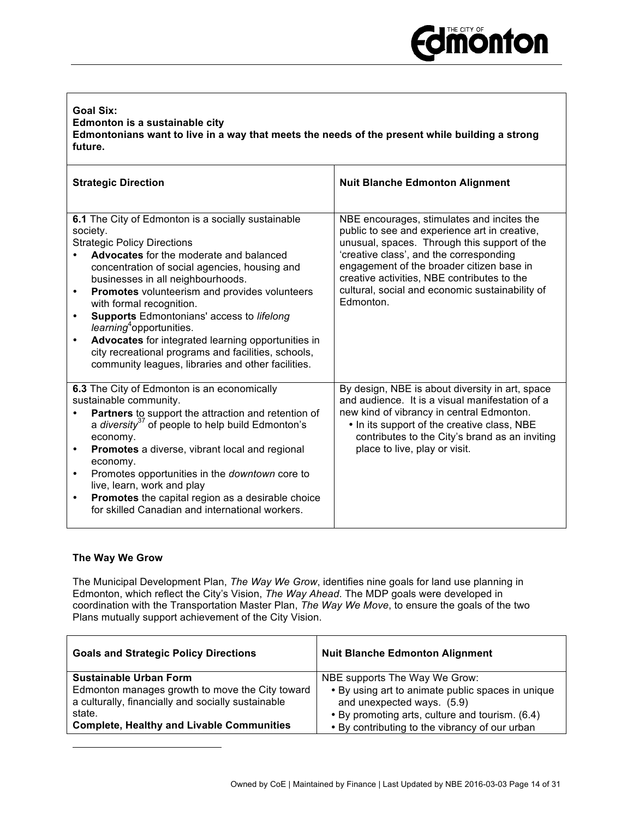#### **Goal Six: Edmonton is a sustainable city Edmontonians want to live in a way that meets the needs of the present while building a strong future.**

| <b>Strategic Direction</b>                                                                                                                                                                                                                                                                                                                                                                                                                                                                                                                                                                                                             | <b>Nuit Blanche Edmonton Alignment</b>                                                                                                                                                                                                                                                                                                             |
|----------------------------------------------------------------------------------------------------------------------------------------------------------------------------------------------------------------------------------------------------------------------------------------------------------------------------------------------------------------------------------------------------------------------------------------------------------------------------------------------------------------------------------------------------------------------------------------------------------------------------------------|----------------------------------------------------------------------------------------------------------------------------------------------------------------------------------------------------------------------------------------------------------------------------------------------------------------------------------------------------|
| 6.1 The City of Edmonton is a socially sustainable<br>society.<br><b>Strategic Policy Directions</b><br><b>Advocates</b> for the moderate and balanced<br>concentration of social agencies, housing and<br>businesses in all neighbourhoods.<br><b>Promotes</b> volunteerism and provides volunteers<br>$\bullet$<br>with formal recognition.<br><b>Supports Edmontonians' access to lifelong</b><br>$\bullet$<br>learning <sup>4</sup> opportunities.<br>Advocates for integrated learning opportunities in<br>$\bullet$<br>city recreational programs and facilities, schools,<br>community leagues, libraries and other facilities. | NBE encourages, stimulates and incites the<br>public to see and experience art in creative,<br>unusual, spaces. Through this support of the<br>'creative class', and the corresponding<br>engagement of the broader citizen base in<br>creative activities, NBE contributes to the<br>cultural, social and economic sustainability of<br>Edmonton. |
| 6.3 The City of Edmonton is an economically<br>sustainable community.<br>Partners to support the attraction and retention of<br>a diversity $3^7$ of people to help build Edmonton's<br>economy.<br><b>Promotes</b> a diverse, vibrant local and regional<br>economy.<br>Promotes opportunities in the <i>downtown</i> core to<br>$\bullet$<br>live, learn, work and play<br>Promotes the capital region as a desirable choice<br>for skilled Canadian and international workers.                                                                                                                                                      | By design, NBE is about diversity in art, space<br>and audience. It is a visual manifestation of a<br>new kind of vibrancy in central Edmonton.<br>• In its support of the creative class, NBE<br>contributes to the City's brand as an inviting<br>place to live, play or visit.                                                                  |

#### **The Way We Grow**

l

The Municipal Development Plan, *The Way We Grow*, identifies nine goals for land use planning in Edmonton, which reflect the City's Vision, *The Way Ahead*. The MDP goals were developed in coordination with the Transportation Master Plan, *The Way We Move*, to ensure the goals of the two Plans mutually support achievement of the City Vision.

| <b>Goals and Strategic Policy Directions</b>                                                                                                                        | <b>Nuit Blanche Edmonton Alignment</b>                                                                                                                                               |
|---------------------------------------------------------------------------------------------------------------------------------------------------------------------|--------------------------------------------------------------------------------------------------------------------------------------------------------------------------------------|
| <b>Sustainable Urban Form</b>                                                                                                                                       | NBE supports The Way We Grow:                                                                                                                                                        |
| Edmonton manages growth to move the City toward<br>a culturally, financially and socially sustainable<br>state.<br><b>Complete, Healthy and Livable Communities</b> | . By using art to animate public spaces in unique<br>and unexpected ways. (5.9)<br>• By promoting arts, culture and tourism. (6.4)<br>• By contributing to the vibrancy of our urban |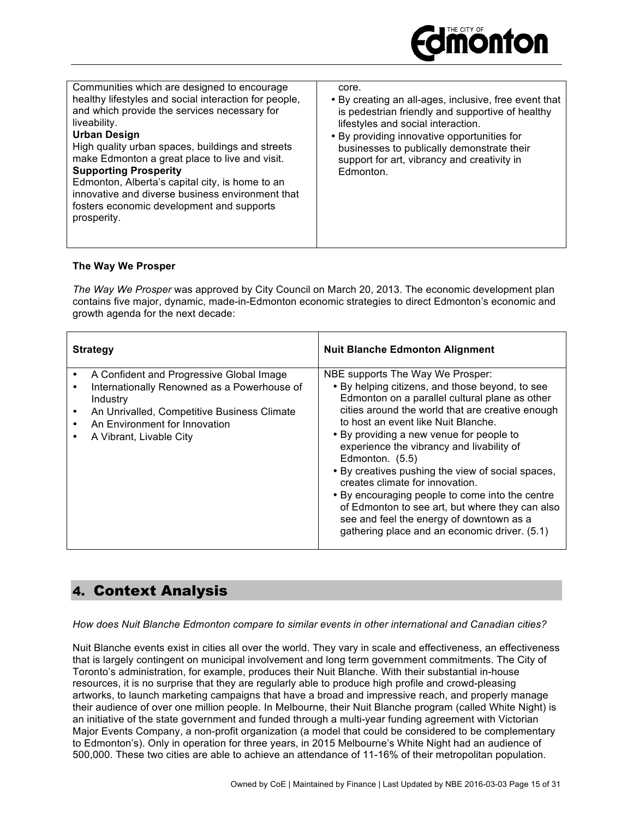

| Communities which are designed to encourage<br>healthy lifestyles and social interaction for people,<br>and which provide the services necessary for<br>liveability.<br><b>Urban Design</b><br>High quality urban spaces, buildings and streets<br>make Edmonton a great place to live and visit.<br><b>Supporting Prosperity</b><br>Edmonton, Alberta's capital city, is home to an<br>innovative and diverse business environment that<br>fosters economic development and supports<br>prosperity. | core.<br>• By creating an all-ages, inclusive, free event that<br>is pedestrian friendly and supportive of healthy<br>lifestyles and social interaction.<br>• By providing innovative opportunities for<br>businesses to publically demonstrate their<br>support for art, vibrancy and creativity in<br>Edmonton. |
|------------------------------------------------------------------------------------------------------------------------------------------------------------------------------------------------------------------------------------------------------------------------------------------------------------------------------------------------------------------------------------------------------------------------------------------------------------------------------------------------------|-------------------------------------------------------------------------------------------------------------------------------------------------------------------------------------------------------------------------------------------------------------------------------------------------------------------|

#### **The Way We Prosper**

*The Way We Prosper* was approved by City Council on March 20, 2013. The economic development plan contains five major, dynamic, made-in-Edmonton economic strategies to direct Edmonton's economic and growth agenda for the next decade:

| <b>Strategy</b>                                                                                                                                                                                                     | <b>Nuit Blanche Edmonton Alignment</b>                                                                                                                                                                                                                                                                                                                                                                                                                                                                                                                                                                                                  |
|---------------------------------------------------------------------------------------------------------------------------------------------------------------------------------------------------------------------|-----------------------------------------------------------------------------------------------------------------------------------------------------------------------------------------------------------------------------------------------------------------------------------------------------------------------------------------------------------------------------------------------------------------------------------------------------------------------------------------------------------------------------------------------------------------------------------------------------------------------------------------|
| A Confident and Progressive Global Image<br>Internationally Renowned as a Powerhouse of<br>Industry<br>An Unrivalled, Competitive Business Climate<br>An Environment for Innovation<br>A Vibrant, Livable City<br>٠ | NBE supports The Way We Prosper:<br>• By helping citizens, and those beyond, to see<br>Edmonton on a parallel cultural plane as other<br>cities around the world that are creative enough<br>to host an event like Nuit Blanche.<br>• By providing a new venue for people to<br>experience the vibrancy and livability of<br>Edmonton. (5.5)<br>. By creatives pushing the view of social spaces,<br>creates climate for innovation.<br>• By encouraging people to come into the centre<br>of Edmonton to see art, but where they can also<br>see and feel the energy of downtown as a<br>gathering place and an economic driver. (5.1) |

## 4. Context Analysis

*How does Nuit Blanche Edmonton compare to similar events in other international and Canadian cities?* 

Nuit Blanche events exist in cities all over the world. They vary in scale and effectiveness, an effectiveness that is largely contingent on municipal involvement and long term government commitments. The City of Toronto's administration, for example, produces their Nuit Blanche. With their substantial in-house resources, it is no surprise that they are regularly able to produce high profile and crowd-pleasing artworks, to launch marketing campaigns that have a broad and impressive reach, and properly manage their audience of over one million people. In Melbourne, their Nuit Blanche program (called White Night) is an initiative of the state government and funded through a multi-year funding agreement with Victorian Major Events Company, a non-profit organization (a model that could be considered to be complementary to Edmonton's). Only in operation for three years, in 2015 Melbourne's White Night had an audience of 500,000. These two cities are able to achieve an attendance of 11-16% of their metropolitan population.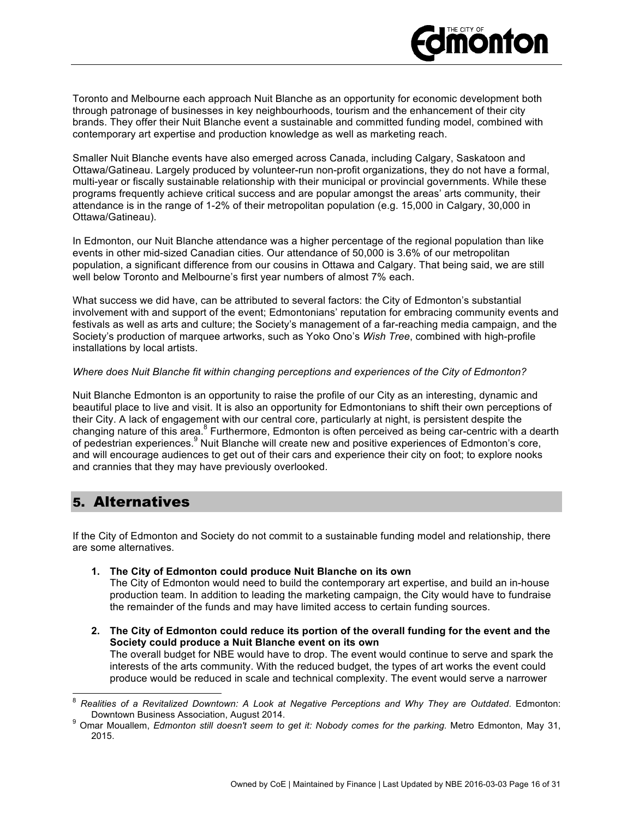

Toronto and Melbourne each approach Nuit Blanche as an opportunity for economic development both through patronage of businesses in key neighbourhoods, tourism and the enhancement of their city brands. They offer their Nuit Blanche event a sustainable and committed funding model, combined with contemporary art expertise and production knowledge as well as marketing reach.

Smaller Nuit Blanche events have also emerged across Canada, including Calgary, Saskatoon and Ottawa/Gatineau. Largely produced by volunteer-run non-profit organizations, they do not have a formal, multi-year or fiscally sustainable relationship with their municipal or provincial governments. While these programs frequently achieve critical success and are popular amongst the areas' arts community, their attendance is in the range of 1-2% of their metropolitan population (e.g. 15,000 in Calgary, 30,000 in Ottawa/Gatineau).

In Edmonton, our Nuit Blanche attendance was a higher percentage of the regional population than like events in other mid-sized Canadian cities. Our attendance of 50,000 is 3.6% of our metropolitan population, a significant difference from our cousins in Ottawa and Calgary. That being said, we are still well below Toronto and Melbourne's first year numbers of almost 7% each.

What success we did have, can be attributed to several factors: the City of Edmonton's substantial involvement with and support of the event; Edmontonians' reputation for embracing community events and festivals as well as arts and culture; the Society's management of a far-reaching media campaign, and the Society's production of marquee artworks, such as Yoko Ono's *Wish Tree*, combined with high-profile installations by local artists.

#### *Where does Nuit Blanche fit within changing perceptions and experiences of the City of Edmonton?*

Nuit Blanche Edmonton is an opportunity to raise the profile of our City as an interesting, dynamic and beautiful place to live and visit. It is also an opportunity for Edmontonians to shift their own perceptions of their City. A lack of engagement with our central core, particularly at night, is persistent despite the changing nature of this area.<sup>8</sup> Furthermore, Edmonton is often perceived as being car-centric with a dearth of pedestrian experiences.<sup>9</sup> Nuit Blanche will create new and positive experiences of Edmonton's core, and will encourage audiences to get out of their cars and experience their city on foot; to explore nooks and crannies that they may have previously overlooked.

## 5. Alternatives

If the City of Edmonton and Society do not commit to a sustainable funding model and relationship, there are some alternatives.

**1. The City of Edmonton could produce Nuit Blanche on its own**

The City of Edmonton would need to build the contemporary art expertise, and build an in-house production team. In addition to leading the marketing campaign, the City would have to fundraise the remainder of the funds and may have limited access to certain funding sources.

**2. The City of Edmonton could reduce its portion of the overall funding for the event and the Society could produce a Nuit Blanche event on its own**

The overall budget for NBE would have to drop. The event would continue to serve and spark the interests of the arts community. With the reduced budget, the types of art works the event could produce would be reduced in scale and technical complexity. The event would serve a narrower

Realities of a Revitalized Downtown: A Look at Negative Perceptions and Why They are Outdated. Edmonton: Downtown Business Association, August 2014.

<sup>&</sup>lt;sup>9</sup> Omar Mouallem, Edmonton still doesn't seem to get it: Nobody comes for the parking. Metro Edmonton, May 31, 2015.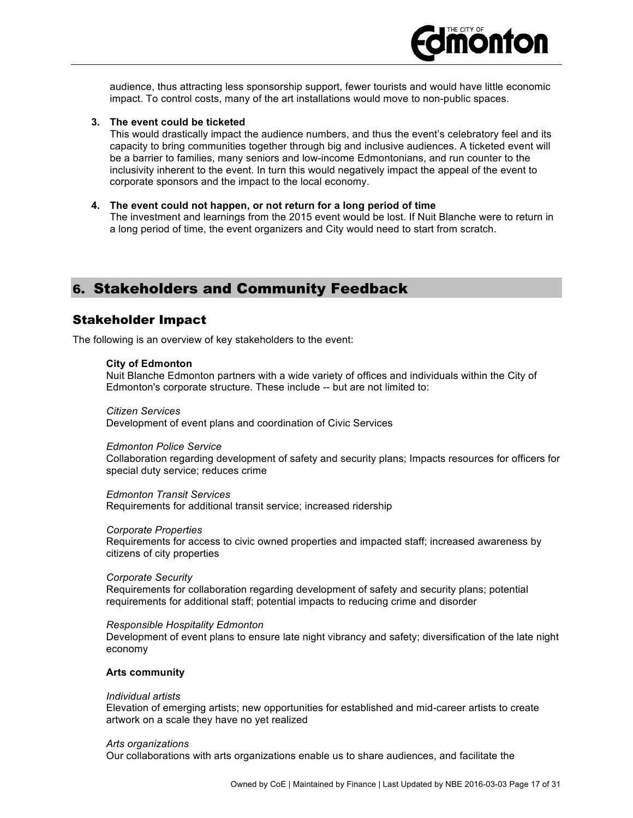

audience, thus attracting less sponsorship support, fewer tourists and would have little economic impact. To control costs, many of the art installations would move to non-public spaces.

#### **3. The event could be ticketed**

This would drastically impact the audience numbers, and thus the event's celebratory feel and its capacity to bring communities together through big and inclusive audiences. A ticketed event will be a barrier to families, many seniors and low-income Edmontonians, and run counter to the inclusivity inherent to the event. In turn this would negatively impact the appeal of the event to corporate sponsors and the impact to the local economy.

**4. The event could not happen, or not return for a long period of time** The investment and learnings from the 2015 event would be lost. If Nuit Blanche were to return in a long period of time, the event organizers and City would need to start from scratch.

## 6. Stakeholders and Community Feedback

#### Stakeholder Impact

The following is an overview of key stakeholders to the event:

#### **City of Edmonton**

Nuit Blanche Edmonton partners with a wide variety of offices and individuals within the City of Edmonton's corporate structure. These include -- but are not limited to:

#### *Citizen Services*

Development of event plans and coordination of Civic Services

#### *Edmonton Police Service*

Collaboration regarding development of safety and security plans; Impacts resources for officers for special duty service; reduces crime

#### *Edmonton Transit Services*

Requirements for additional transit service; increased ridership

#### *Corporate Properties*

Requirements for access to civic owned properties and impacted staff; increased awareness by citizens of city properties

#### *Corporate Security*

Requirements for collaboration regarding development of safety and security plans; potential requirements for additional staff; potential impacts to reducing crime and disorder

#### *Responsible Hospitality Edmonton*

Development of event plans to ensure late night vibrancy and safety; diversification of the late night economy

#### **Arts community**

#### *Individual artists*

Elevation of emerging artists; new opportunities for established and mid-career artists to create artwork on a scale they have no yet realized

#### *Arts organizations*

Our collaborations with arts organizations enable us to share audiences, and facilitate the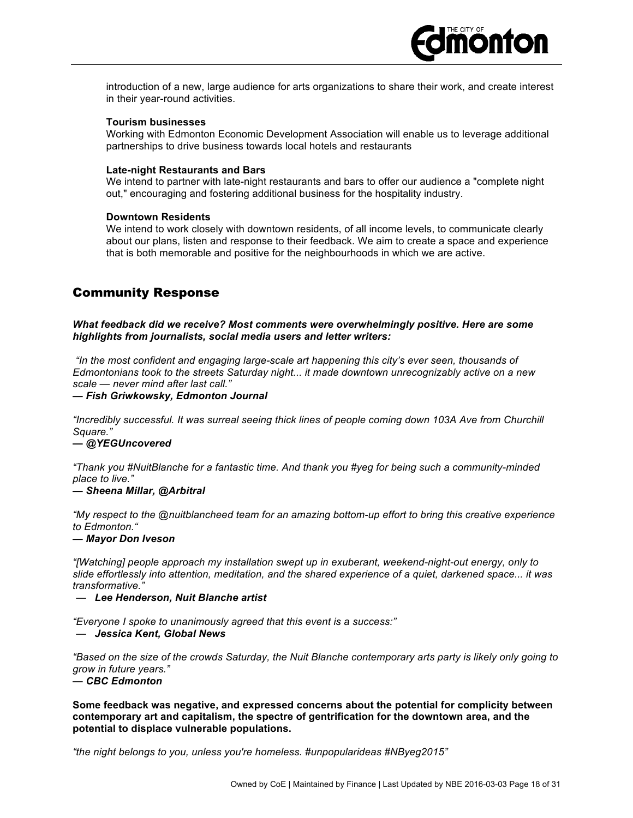

introduction of a new, large audience for arts organizations to share their work, and create interest in their year-round activities.

#### **Tourism businesses**

Working with Edmonton Economic Development Association will enable us to leverage additional partnerships to drive business towards local hotels and restaurants

#### **Late-night Restaurants and Bars**

We intend to partner with late-night restaurants and bars to offer our audience a "complete night out," encouraging and fostering additional business for the hospitality industry.

#### **Downtown Residents**

We intend to work closely with downtown residents, of all income levels, to communicate clearly about our plans, listen and response to their feedback. We aim to create a space and experience that is both memorable and positive for the neighbourhoods in which we are active.

## Community Response

*What feedback did we receive? Most comments were overwhelmingly positive. Here are some highlights from journalists, social media users and letter writers:*

*"In the most confident and engaging large-scale art happening this city's ever seen, thousands of Edmontonians took to the streets Saturday night... it made downtown unrecognizably active on a new scale — never mind after last call."*

*— Fish Griwkowsky, Edmonton Journal*

*"Incredibly successful. It was surreal seeing thick lines of people coming down 103A Ave from Churchill Square."*

#### *— @YEGUncovered*

*"Thank you #NuitBlanche for a fantastic time. And thank you #yeg for being such a community-minded place to live."*

#### *— Sheena Millar, @Arbitral*

*"My respect to the @nuitblancheed team for an amazing bottom-up effort to bring this creative experience to Edmonton."*

#### *— Mayor Don Iveson*

*"[Watching] people approach my installation swept up in exuberant, weekend-night-out energy, only to slide effortlessly into attention, meditation, and the shared experience of a quiet, darkened space... it was transformative."*

— *Lee Henderson, Nuit Blanche artist*

*"Everyone I spoke to unanimously agreed that this event is a success:"* — *Jessica Kent, Global News*

*"Based on the size of the crowds Saturday, the Nuit Blanche contemporary arts party is likely only going to grow in future years."*

#### *— CBC Edmonton*

**Some feedback was negative, and expressed concerns about the potential for complicity between contemporary art and capitalism, the spectre of gentrification for the downtown area, and the potential to displace vulnerable populations.** 

*"the night belongs to you, unless you're homeless. #unpopularideas #NByeg2015"*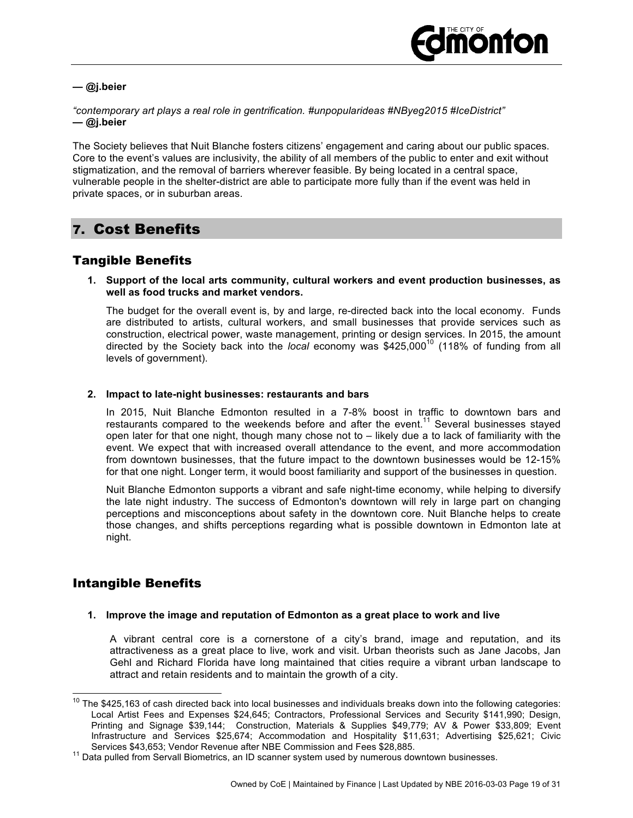

*—* **@j.beier**

*"contemporary art plays a real role in gentrification. #unpopularideas #NByeg2015 #IceDistrict" —* **@j.beier**

The Society believes that Nuit Blanche fosters citizens' engagement and caring about our public spaces. Core to the event's values are inclusivity, the ability of all members of the public to enter and exit without stigmatization, and the removal of barriers wherever feasible. By being located in a central space, vulnerable people in the shelter-district are able to participate more fully than if the event was held in private spaces, or in suburban areas.

## 7. Cost Benefits

## Tangible Benefits

#### **1. Support of the local arts community, cultural workers and event production businesses, as well as food trucks and market vendors.**

The budget for the overall event is, by and large, re-directed back into the local economy. Funds are distributed to artists, cultural workers, and small businesses that provide services such as construction, electrical power, waste management, printing or design services. In 2015, the amount directed by the Society back into the *local* economy was \$425,000<sup>10</sup> (118% of funding from all levels of government).

#### **2. Impact to late-night businesses: restaurants and bars**

In 2015, Nuit Blanche Edmonton resulted in a 7-8% boost in traffic to downtown bars and restaurants compared to the weekends before and after the event.<sup>11</sup> Several businesses stayed open later for that one night, though many chose not to – likely due a to lack of familiarity with the event. We expect that with increased overall attendance to the event, and more accommodation from downtown businesses, that the future impact to the downtown businesses would be 12-15% for that one night. Longer term, it would boost familiarity and support of the businesses in question.

Nuit Blanche Edmonton supports a vibrant and safe night-time economy, while helping to diversify the late night industry. The success of Edmonton's downtown will rely in large part on changing perceptions and misconceptions about safety in the downtown core. Nuit Blanche helps to create those changes, and shifts perceptions regarding what is possible downtown in Edmonton late at night.

## Intangible Benefits

#### **1. Improve the image and reputation of Edmonton as a great place to work and live**

A vibrant central core is a cornerstone of a city's brand, image and reputation, and its attractiveness as a great place to live, work and visit. Urban theorists such as Jane Jacobs, Jan Gehl and Richard Florida have long maintained that cities require a vibrant urban landscape to attract and retain residents and to maintain the growth of a city.

 $10$  The \$425,163 of cash directed back into local businesses and individuals breaks down into the following categories: Local Artist Fees and Expenses \$24,645; Contractors, Professional Services and Security \$141,990; Design, Printing and Signage \$39,144; Construction, Materials & Supplies \$49,779; AV & Power \$33,809; Event Infrastructure and Services \$25,674; Accommodation and Hospitality \$11,631; Advertising \$25,621; Civic

Services \$43,653; Vendor Revenue after NBE Commission and Fees \$28,885.<br><sup>11</sup> Data pulled from Servall Biometrics, an ID scanner system used by numerous downtown businesses.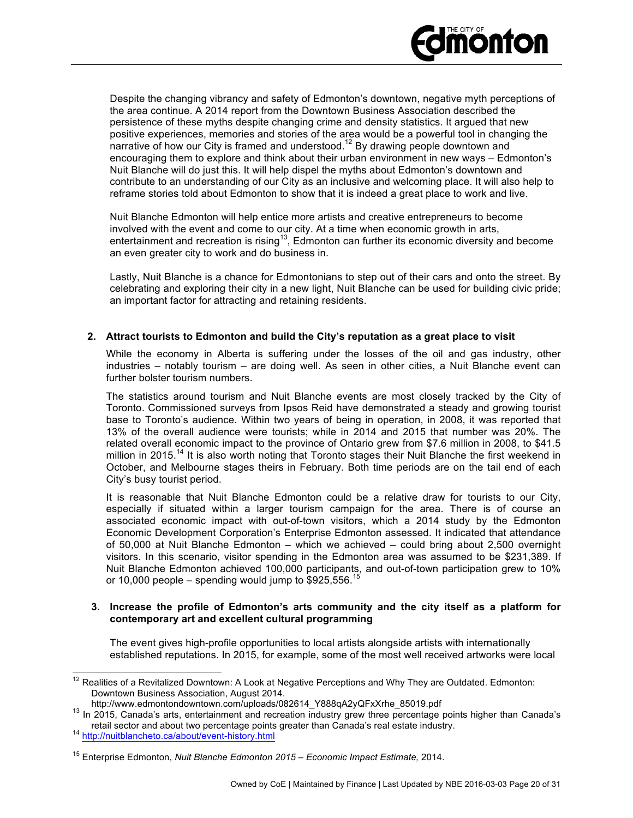

Despite the changing vibrancy and safety of Edmonton's downtown, negative myth perceptions of the area continue. A 2014 report from the Downtown Business Association described the persistence of these myths despite changing crime and density statistics. It argued that new positive experiences, memories and stories of the area would be a powerful tool in changing the narrative of how our City is framed and understood.<sup>12</sup> By drawing people downtown and encouraging them to explore and think about their urban environment in new ways – Edmonton's Nuit Blanche will do just this. It will help dispel the myths about Edmonton's downtown and contribute to an understanding of our City as an inclusive and welcoming place. It will also help to reframe stories told about Edmonton to show that it is indeed a great place to work and live.

Nuit Blanche Edmonton will help entice more artists and creative entrepreneurs to become involved with the event and come to our city. At a time when economic growth in arts, entertainment and recreation is rising<sup>13</sup>, Edmonton can further its economic diversity and become an even greater city to work and do business in.

Lastly, Nuit Blanche is a chance for Edmontonians to step out of their cars and onto the street. By celebrating and exploring their city in a new light, Nuit Blanche can be used for building civic pride; an important factor for attracting and retaining residents.

#### **2. Attract tourists to Edmonton and build the City's reputation as a great place to visit**

While the economy in Alberta is suffering under the losses of the oil and gas industry, other industries – notably tourism – are doing well. As seen in other cities, a Nuit Blanche event can further bolster tourism numbers.

The statistics around tourism and Nuit Blanche events are most closely tracked by the City of Toronto. Commissioned surveys from Ipsos Reid have demonstrated a steady and growing tourist base to Toronto's audience. Within two years of being in operation, in 2008, it was reported that 13% of the overall audience were tourists; while in 2014 and 2015 that number was 20%. The related overall economic impact to the province of Ontario grew from \$7.6 million in 2008, to \$41.5 million in 2015.<sup>14</sup> It is also worth noting that Toronto stages their Nuit Blanche the first weekend in October, and Melbourne stages theirs in February. Both time periods are on the tail end of each City's busy tourist period.

It is reasonable that Nuit Blanche Edmonton could be a relative draw for tourists to our City, especially if situated within a larger tourism campaign for the area. There is of course an associated economic impact with out-of-town visitors, which a 2014 study by the Edmonton Economic Development Corporation's Enterprise Edmonton assessed. It indicated that attendance of 50,000 at Nuit Blanche Edmonton – which we achieved – could bring about 2,500 overnight visitors. In this scenario, visitor spending in the Edmonton area was assumed to be \$231,389. If Nuit Blanche Edmonton achieved 100,000 participants, and out-of-town participation grew to 10% or 10,000 people – spending would jump to  $$925,556$ .

#### **3. Increase the profile of Edmonton's arts community and the city itself as a platform for contemporary art and excellent cultural programming**

The event gives high-profile opportunities to local artists alongside artists with internationally established reputations. In 2015, for example, some of the most well received artworks were local

<sup>&</sup>lt;sup>12</sup> Realities of a Revitalized Downtown: A Look at Negative Perceptions and Why They are Outdated. Edmonton: Downtown Business Association, August 2014.<br>http://www.edmontondowntown.com/uploads/082614\_Y888qA2yQFxXrhe\_85019.pdf

 $13$  In 2015, Canada's arts, entertainment and recreation industry grew three percentage points higher than Canada's retail sector and about two percentage points greater than Canada's real estate industry.<br><sup>14</sup> http://nuitblancheto.ca/about/event-history.html

<sup>15</sup> Enterprise Edmonton, *Nuit Blanche Edmonton 2015 – Economic Impact Estimate,* 2014.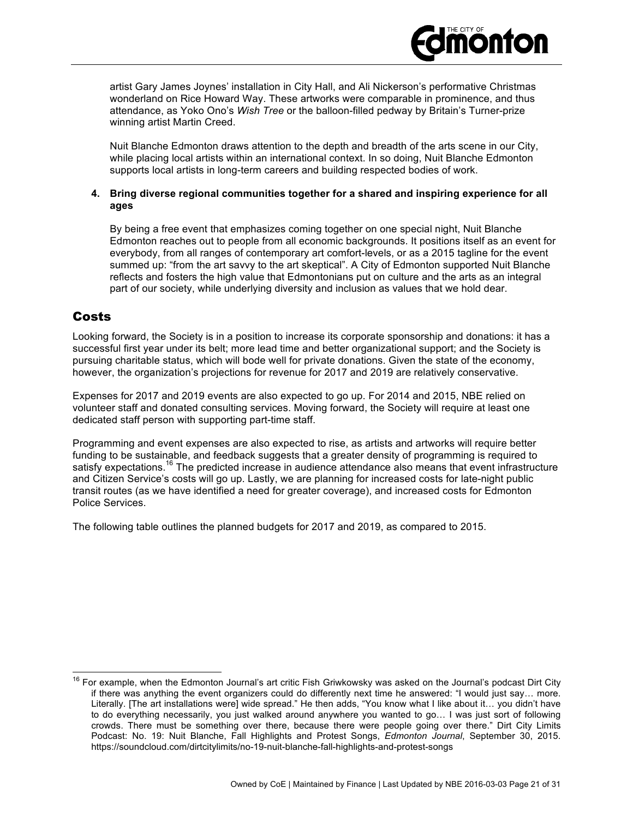

Nuit Blanche Edmonton draws attention to the depth and breadth of the arts scene in our City, while placing local artists within an international context. In so doing, Nuit Blanche Edmonton supports local artists in long-term careers and building respected bodies of work.

#### **4. Bring diverse regional communities together for a shared and inspiring experience for all ages**

By being a free event that emphasizes coming together on one special night, Nuit Blanche Edmonton reaches out to people from all economic backgrounds. It positions itself as an event for everybody, from all ranges of contemporary art comfort-levels, or as a 2015 tagline for the event summed up: "from the art savvy to the art skeptical". A City of Edmonton supported Nuit Blanche reflects and fosters the high value that Edmontonians put on culture and the arts as an integral part of our society, while underlying diversity and inclusion as values that we hold dear.

## Costs

Looking forward, the Society is in a position to increase its corporate sponsorship and donations: it has a successful first year under its belt; more lead time and better organizational support; and the Society is pursuing charitable status, which will bode well for private donations. Given the state of the economy, however, the organization's projections for revenue for 2017 and 2019 are relatively conservative.

Expenses for 2017 and 2019 events are also expected to go up. For 2014 and 2015, NBE relied on volunteer staff and donated consulting services. Moving forward, the Society will require at least one dedicated staff person with supporting part-time staff.

Programming and event expenses are also expected to rise, as artists and artworks will require better funding to be sustainable, and feedback suggests that a greater density of programming is required to satisfy expectations.<sup>16</sup> The predicted increase in audience attendance also means that event infrastructure and Citizen Service's costs will go up. Lastly, we are planning for increased costs for late-night public transit routes (as we have identified a need for greater coverage), and increased costs for Edmonton Police Services.

The following table outlines the planned budgets for 2017 and 2019, as compared to 2015.

<sup>&</sup>lt;sup>16</sup> For example, when the Edmonton Journal's art critic Fish Griwkowsky was asked on the Journal's podcast Dirt City if there was anything the event organizers could do differently next time he answered: "I would just say… more. Literally. [The art installations were] wide spread." He then adds, "You know what I like about it… you didn't have to do everything necessarily, you just walked around anywhere you wanted to go… I was just sort of following crowds. There must be something over there, because there were people going over there." Dirt City Limits Podcast: No. 19: Nuit Blanche, Fall Highlights and Protest Songs, *Edmonton Journal*, September 30, 2015. https://soundcloud.com/dirtcitylimits/no-19-nuit-blanche-fall-highlights-and-protest-songs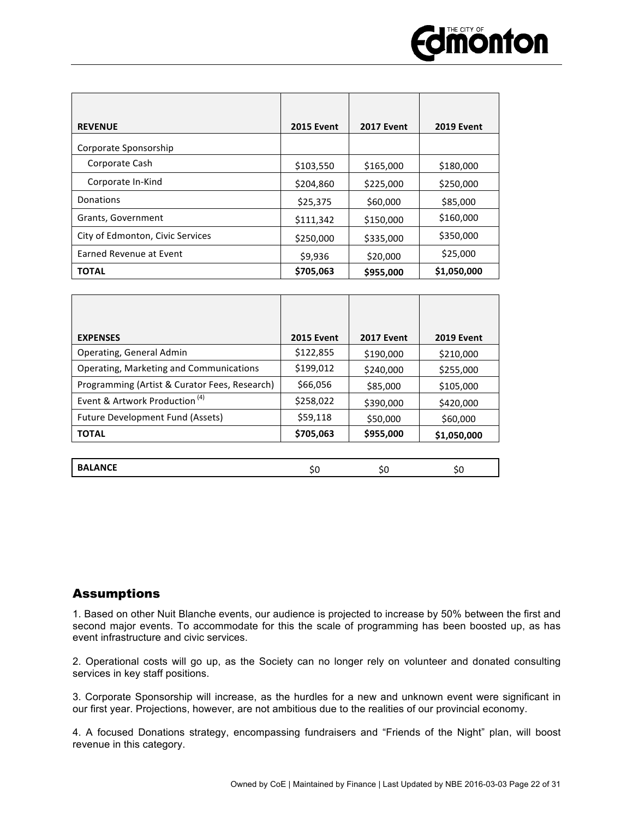

| <b>REVENUE</b>                   | <b>2015 Event</b> | <b>2017 Event</b> | <b>2019 Event</b> |
|----------------------------------|-------------------|-------------------|-------------------|
| Corporate Sponsorship            |                   |                   |                   |
| Corporate Cash                   | \$103,550         | \$165,000         | \$180,000         |
| Corporate In-Kind                | \$204,860         | \$225,000         | \$250,000         |
| Donations                        | \$25,375          | \$60,000          | \$85,000          |
| Grants, Government               | \$111,342         | \$150,000         | \$160,000         |
| City of Edmonton, Civic Services | \$250,000         | \$335,000         | \$350,000         |
| Earned Revenue at Event          | \$9,936           | \$20,000          | \$25,000          |
| <b>TOTAL</b>                     | \$705,063         | \$955,000         | \$1,050,000       |

| <b>2015 Event</b> | <b>2017 Event</b> | <b>2019 Event</b> |
|-------------------|-------------------|-------------------|
| \$122,855         | \$190,000         | \$210,000         |
| \$199,012         | \$240,000         | \$255,000         |
| \$66,056          | \$85,000          | \$105,000         |
| \$258,022         | \$390,000         | \$420,000         |
| \$59,118          | \$50,000          | \$60,000          |
| \$705,063         | \$955,000         | \$1,050,000       |
|                   |                   |                   |

| <b>BALANCE</b><br>oι<br>᠈៶<br>. |
|---------------------------------|
|---------------------------------|

## Assumptions

1. Based on other Nuit Blanche events, our audience is projected to increase by 50% between the first and second major events. To accommodate for this the scale of programming has been boosted up, as has event infrastructure and civic services.

2. Operational costs will go up, as the Society can no longer rely on volunteer and donated consulting services in key staff positions.

3. Corporate Sponsorship will increase, as the hurdles for a new and unknown event were significant in our first year. Projections, however, are not ambitious due to the realities of our provincial economy.

4. A focused Donations strategy, encompassing fundraisers and "Friends of the Night" plan, will boost revenue in this category.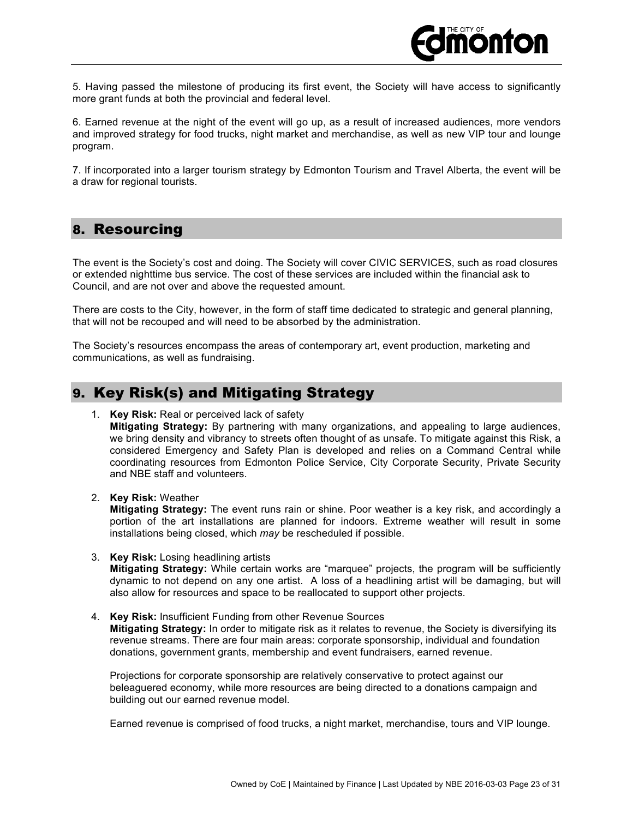

5. Having passed the milestone of producing its first event, the Society will have access to significantly more grant funds at both the provincial and federal level.

6. Earned revenue at the night of the event will go up, as a result of increased audiences, more vendors and improved strategy for food trucks, night market and merchandise, as well as new VIP tour and lounge program.

7. If incorporated into a larger tourism strategy by Edmonton Tourism and Travel Alberta, the event will be a draw for regional tourists.

## 8. Resourcing

The event is the Society's cost and doing. The Society will cover CIVIC SERVICES, such as road closures or extended nighttime bus service. The cost of these services are included within the financial ask to Council, and are not over and above the requested amount.

There are costs to the City, however, in the form of staff time dedicated to strategic and general planning, that will not be recouped and will need to be absorbed by the administration.

The Society's resources encompass the areas of contemporary art, event production, marketing and communications, as well as fundraising.

## 9. Key Risk(s) and Mitigating Strategy

1. **Key Risk:** Real or perceived lack of safety

**Mitigating Strategy:** By partnering with many organizations, and appealing to large audiences, we bring density and vibrancy to streets often thought of as unsafe. To mitigate against this Risk, a considered Emergency and Safety Plan is developed and relies on a Command Central while coordinating resources from Edmonton Police Service, City Corporate Security, Private Security and NBE staff and volunteers.

2. **Key Risk:** Weather

**Mitigating Strategy:** The event runs rain or shine. Poor weather is a key risk, and accordingly a portion of the art installations are planned for indoors. Extreme weather will result in some installations being closed, which *may* be rescheduled if possible.

- 3. **Key Risk:** Losing headlining artists **Mitigating Strategy:** While certain works are "marquee" projects, the program will be sufficiently dynamic to not depend on any one artist. A loss of a headlining artist will be damaging, but will also allow for resources and space to be reallocated to support other projects.
- 4. **Key Risk:** Insufficient Funding from other Revenue Sources **Mitigating Strategy:** In order to mitigate risk as it relates to revenue, the Society is diversifying its revenue streams. There are four main areas: corporate sponsorship, individual and foundation donations, government grants, membership and event fundraisers, earned revenue.

Projections for corporate sponsorship are relatively conservative to protect against our beleaguered economy, while more resources are being directed to a donations campaign and building out our earned revenue model.

Earned revenue is comprised of food trucks, a night market, merchandise, tours and VIP lounge.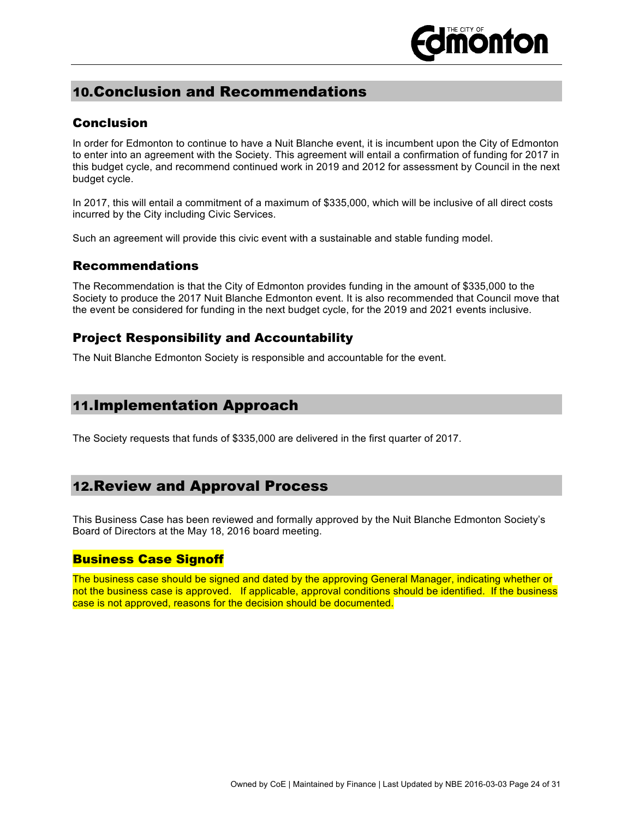## 10.Conclusion and Recommendations

## Conclusion

In order for Edmonton to continue to have a Nuit Blanche event, it is incumbent upon the City of Edmonton to enter into an agreement with the Society. This agreement will entail a confirmation of funding for 2017 in this budget cycle, and recommend continued work in 2019 and 2012 for assessment by Council in the next budget cycle.

In 2017, this will entail a commitment of a maximum of \$335,000, which will be inclusive of all direct costs incurred by the City including Civic Services.

Such an agreement will provide this civic event with a sustainable and stable funding model.

## Recommendations

The Recommendation is that the City of Edmonton provides funding in the amount of \$335,000 to the Society to produce the 2017 Nuit Blanche Edmonton event. It is also recommended that Council move that the event be considered for funding in the next budget cycle, for the 2019 and 2021 events inclusive.

## Project Responsibility and Accountability

The Nuit Blanche Edmonton Society is responsible and accountable for the event.

## 11.Implementation Approach

The Society requests that funds of \$335,000 are delivered in the first quarter of 2017.

## 12.Review and Approval Process

This Business Case has been reviewed and formally approved by the Nuit Blanche Edmonton Society's Board of Directors at the May 18, 2016 board meeting.

#### Business Case Signoff

The business case should be signed and dated by the approving General Manager, indicating whether or not the business case is approved. If applicable, approval conditions should be identified. If the business case is not approved, reasons for the decision should be documented.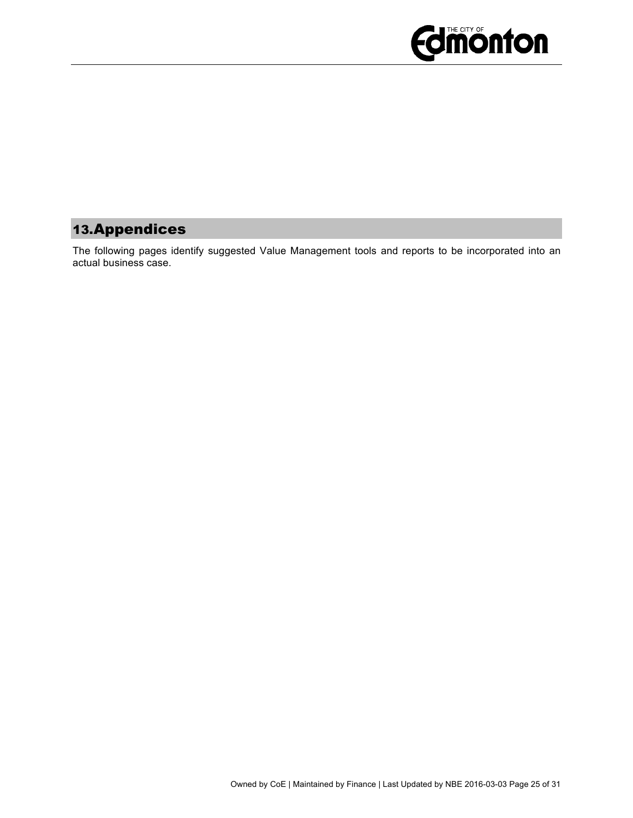

## 13.Appendices

The following pages identify suggested Value Management tools and reports to be incorporated into an actual business case.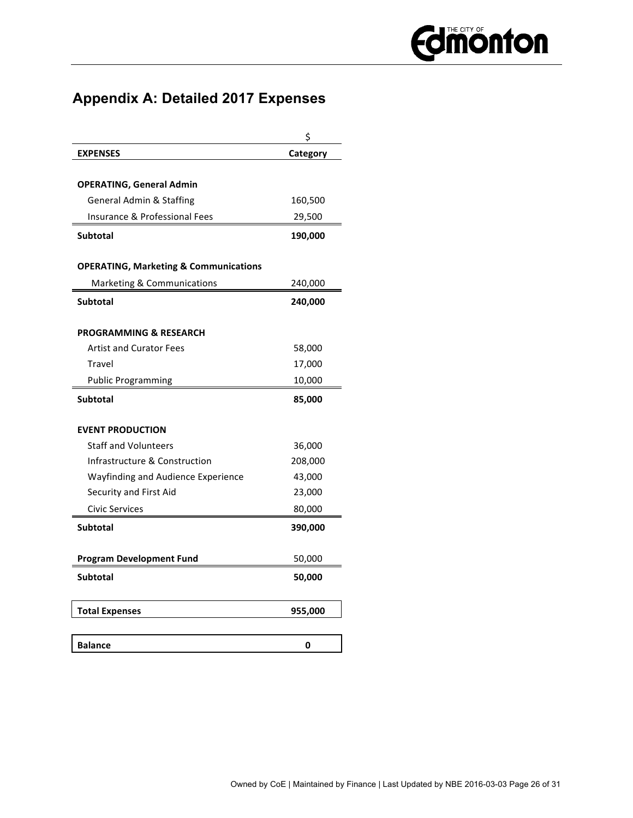## **Appendix A: Detailed 2017 Expenses**

|                                                  | Ś        |
|--------------------------------------------------|----------|
| <b>EXPENSES</b>                                  | Category |
|                                                  |          |
| <b>OPERATING, General Admin</b>                  |          |
| <b>General Admin &amp; Staffing</b>              | 160,500  |
| Insurance & Professional Fees                    | 29,500   |
| <b>Subtotal</b>                                  | 190,000  |
| <b>OPERATING, Marketing &amp; Communications</b> |          |
| Marketing & Communications                       | 240,000  |
| <b>Subtotal</b>                                  | 240,000  |
| <b>PROGRAMMING &amp; RESEARCH</b>                |          |
| <b>Artist and Curator Fees</b>                   | 58,000   |
| Travel                                           | 17,000   |
| <b>Public Programming</b>                        | 10,000   |
| <b>Subtotal</b>                                  | 85,000   |
| <b>EVENT PRODUCTION</b>                          |          |
| <b>Staff and Volunteers</b>                      | 36,000   |
| Infrastructure & Construction                    | 208,000  |
| Wayfinding and Audience Experience               | 43,000   |
| Security and First Aid                           | 23,000   |
| Civic Services                                   | 80,000   |
| <b>Subtotal</b>                                  | 390,000  |
| <b>Program Development Fund</b>                  | 50,000   |
| <b>Subtotal</b>                                  | 50,000   |
| <b>Total Expenses</b>                            | 955,000  |
| <b>Balance</b>                                   | 0        |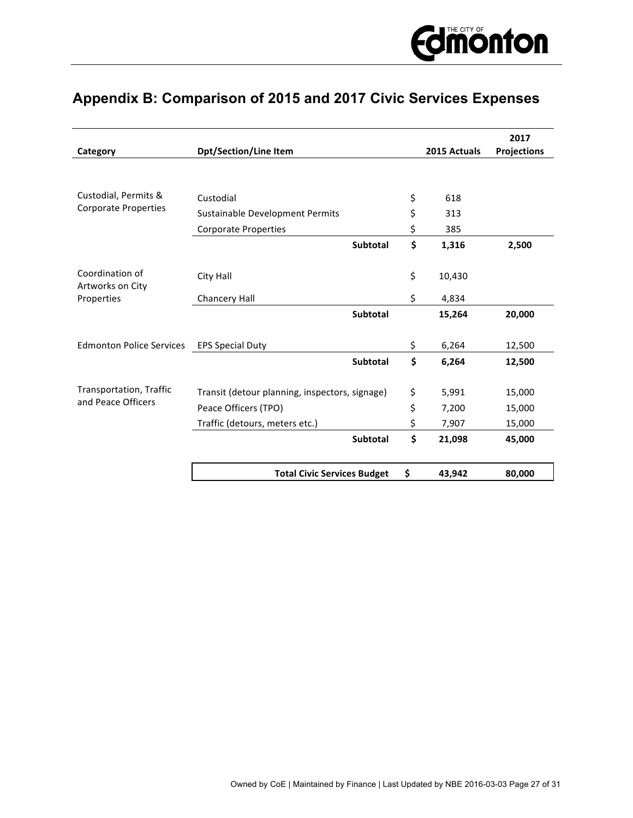## **Appendix B: Comparison of 2015 and 2017 Civic Services Expenses**

| Category                            | <b>Dpt/Section/Line Item</b>                   | 2015 Actuals | 2017<br><b>Projections</b> |
|-------------------------------------|------------------------------------------------|--------------|----------------------------|
|                                     |                                                |              |                            |
| Custodial, Permits &                | Custodial                                      | \$<br>618    |                            |
| <b>Corporate Properties</b>         | Sustainable Development Permits                | \$<br>313    |                            |
|                                     | <b>Corporate Properties</b>                    | \$<br>385    |                            |
|                                     | Subtotal                                       | \$<br>1,316  | 2,500                      |
| Coordination of<br>Artworks on City | City Hall                                      | \$<br>10,430 |                            |
| Properties                          | Chancery Hall                                  | \$<br>4,834  |                            |
|                                     | Subtotal                                       | 15,264       | 20,000                     |
| <b>Edmonton Police Services</b>     | <b>EPS Special Duty</b>                        | \$<br>6,264  | 12,500                     |
|                                     | <b>Subtotal</b>                                | \$<br>6,264  | 12,500                     |
| Transportation, Traffic             | Transit (detour planning, inspectors, signage) | \$<br>5,991  | 15,000                     |
| and Peace Officers                  | Peace Officers (TPO)                           | \$<br>7,200  | 15,000                     |
|                                     | Traffic (detours, meters etc.)                 | \$<br>7,907  | 15,000                     |
|                                     | Subtotal                                       | \$<br>21,098 | 45,000                     |
|                                     | <b>Total Civic Services Budget</b>             | \$<br>43,942 | 80,000                     |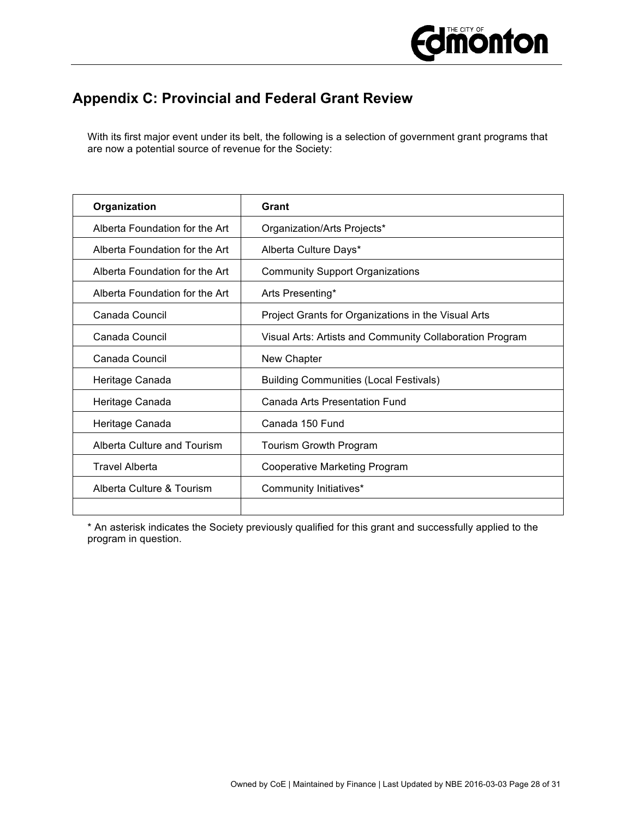

## **Appendix C: Provincial and Federal Grant Review**

With its first major event under its belt, the following is a selection of government grant programs that are now a potential source of revenue for the Society:

| Organization                   | Grant                                                    |
|--------------------------------|----------------------------------------------------------|
| Alberta Foundation for the Art | Organization/Arts Projects*                              |
| Alberta Foundation for the Art | Alberta Culture Days*                                    |
| Alberta Foundation for the Art | <b>Community Support Organizations</b>                   |
| Alberta Foundation for the Art | Arts Presenting*                                         |
| Canada Council                 | Project Grants for Organizations in the Visual Arts      |
| Canada Council                 | Visual Arts: Artists and Community Collaboration Program |
| Canada Council                 | New Chapter                                              |
| Heritage Canada                | <b>Building Communities (Local Festivals)</b>            |
| Heritage Canada                | Canada Arts Presentation Fund                            |
| Heritage Canada                | Canada 150 Fund                                          |
| Alberta Culture and Tourism    | Tourism Growth Program                                   |
| <b>Travel Alberta</b>          | Cooperative Marketing Program                            |
| Alberta Culture & Tourism      | Community Initiatives*                                   |
|                                |                                                          |

\* An asterisk indicates the Society previously qualified for this grant and successfully applied to the program in question.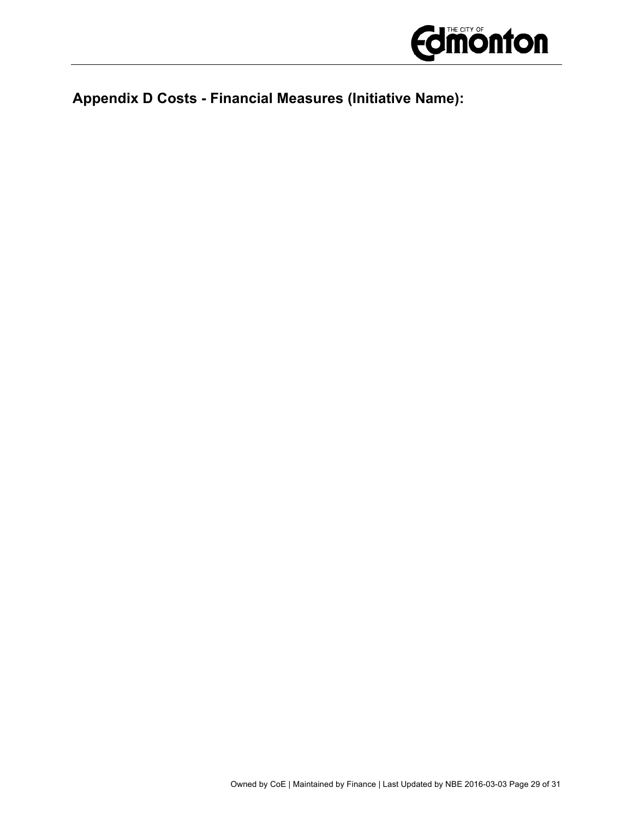

## **Appendix D Costs - Financial Measures (Initiative Name):**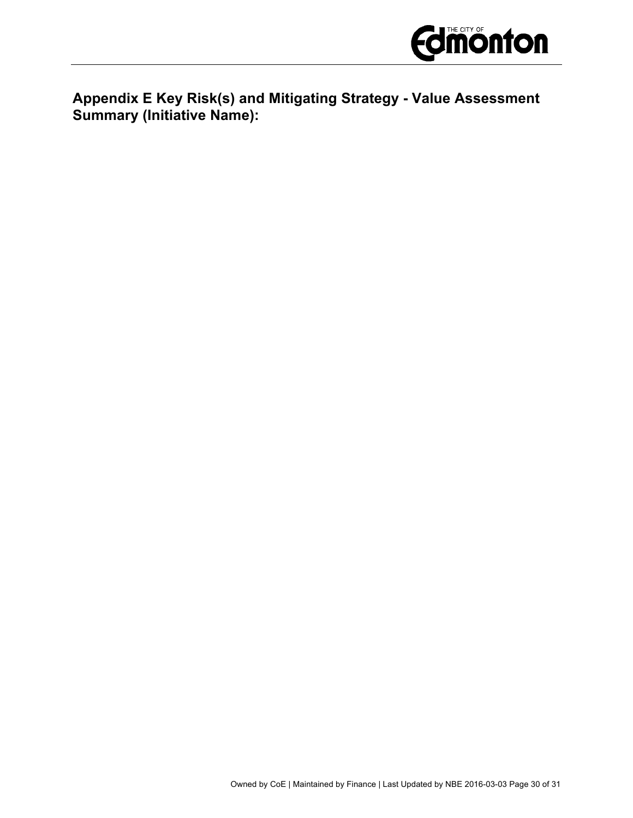

**Appendix E Key Risk(s) and Mitigating Strategy - Value Assessment Summary (Initiative Name):**